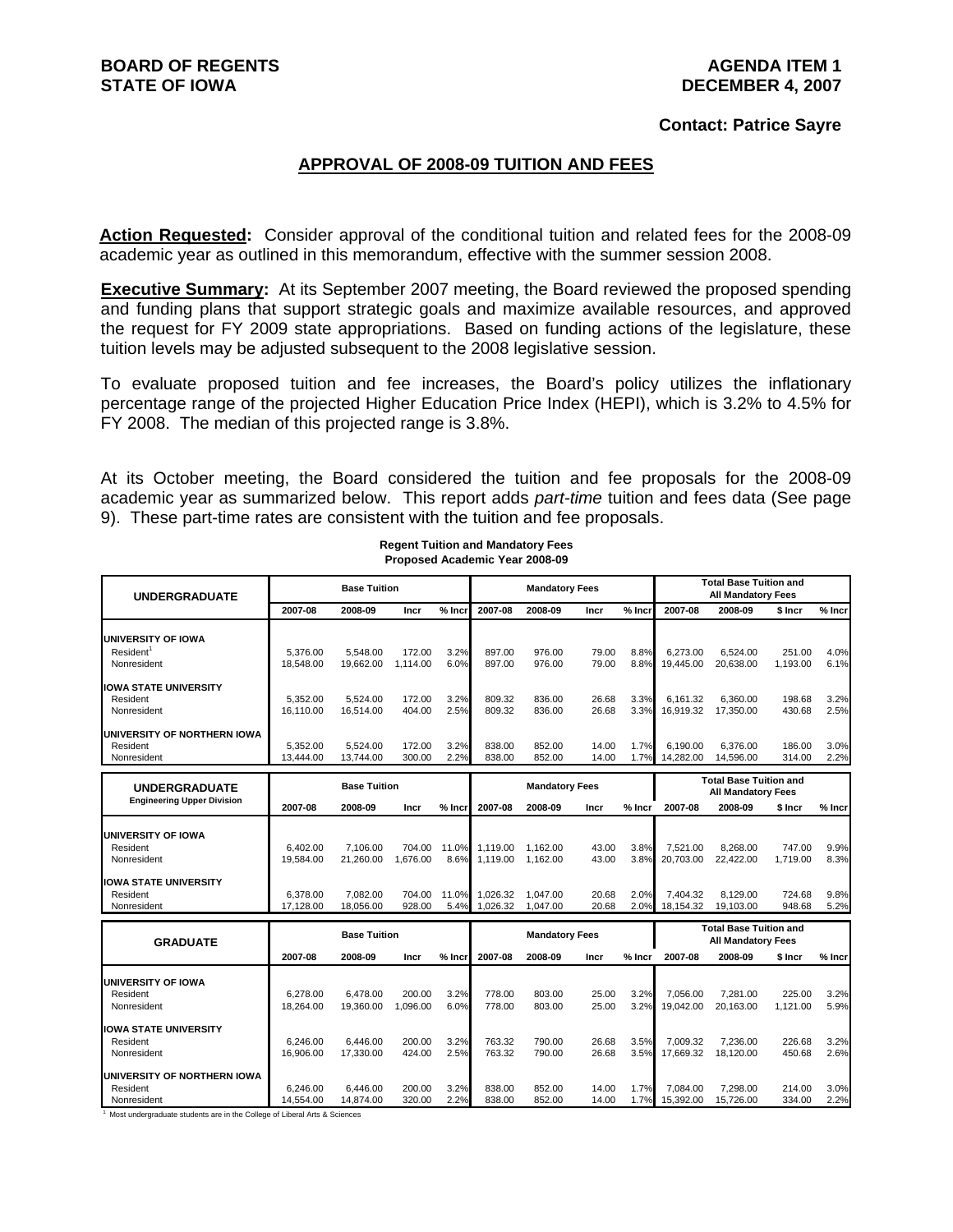### **AGENDA ITEM 1 DECEMBER 4, 2007**

### **Contact: Patrice Sayre**

### **APPROVAL OF 2008-09 TUITION AND FEES**

**Action Requested:** Consider approval of the conditional tuition and related fees for the 2008-09 academic year as outlined in this memorandum, effective with the summer session 2008.

**Executive Summary:** At its September 2007 meeting, the Board reviewed the proposed spending and funding plans that support strategic goals and maximize available resources, and approved the request for FY 2009 state appropriations. Based on funding actions of the legislature, these tuition levels may be adjusted subsequent to the 2008 legislative session.

To evaluate proposed tuition and fee increases, the Board's policy utilizes the inflationary percentage range of the projected Higher Education Price Index (HEPI), which is 3.2% to 4.5% for FY 2008. The median of this projected range is 3.8%.

At its October meeting, the Board considered the tuition and fee proposals for the 2008-09 academic year as summarized below. This report adds *part-time* tuition and fees data (See page 9). These part-time rates are consistent with the tuition and fee proposals.

| <b>UNDERGRADUATE</b>                                       |                       | <b>Base Tuition</b>                                                                               |                    |               |                      | <b>Mandatory Fees</b> |                |              | <b>Total Base Tuition and</b><br><b>All Mandatory Fees</b> |                                                            |                    |              |  |  |
|------------------------------------------------------------|-----------------------|---------------------------------------------------------------------------------------------------|--------------------|---------------|----------------------|-----------------------|----------------|--------------|------------------------------------------------------------|------------------------------------------------------------|--------------------|--------------|--|--|
|                                                            | 2007-08               | 2008-09                                                                                           | Incr               | % Incr        | 2007-08              | 2008-09               | Incr           | $%$ Incr     | 2007-08                                                    | 2008-09                                                    | \$ Incr            | % Incr       |  |  |
| UNIVERSITY OF IOWA<br>Resident <sup>1</sup><br>Nonresident | 5.376.00<br>18.548.00 | 5.548.00<br>19.662.00                                                                             | 172.00<br>1.114.00 | 3.2%<br>6.0%  | 897.00<br>897.00     | 976.00<br>976.00      | 79.00<br>79.00 | 8.8%<br>8.8% | 6.273.00<br>19.445.00                                      | 6.524.00<br>20.638.00                                      | 251.00<br>1.193.00 | 4.0%<br>6.1% |  |  |
| <b>IOWA STATE UNIVERSITY</b><br>Resident<br>Nonresident    | 5.352.00<br>16.110.00 | 5,524.00<br>16,514.00                                                                             | 172.00<br>404.00   | 3.2%<br>2.5%  | 809.32<br>809.32     | 836.00<br>836.00      | 26.68<br>26.68 | 3.3%<br>3.3% | 6.161.32<br>16,919.32                                      | 6.360.00<br>17,350.00                                      | 198.68<br>430.68   | 3.2%<br>2.5% |  |  |
| UNIVERSITY OF NORTHERN IOWA<br>Resident<br>Nonresident     | 5.352.00<br>13,444.00 | 5.524.00<br>13,744.00                                                                             | 172.00<br>300.00   | 3.2%<br>2.2%  | 838.00<br>838.00     | 852.00<br>852.00      | 14.00<br>14.00 | 1.7%<br>1.7% | 6.190.00<br>14,282.00                                      | 6.376.00<br>14,596.00                                      | 186.00<br>314.00   | 3.0%<br>2.2% |  |  |
| <b>UNDERGRADUATE</b>                                       |                       | <b>Base Tuition</b>                                                                               |                    |               |                      | <b>Mandatory Fees</b> |                |              |                                                            | <b>Total Base Tuition and</b>                              |                    |              |  |  |
| <b>Engineering Upper Division</b>                          | 2007-08               | 2008-09                                                                                           | Incr               | $%$ Incr      | 2007-08              | 2008-09               | Incr           | % Incr       | 2007-08                                                    | <b>All Mandatory Fees</b><br>2008-09                       | \$ Incr            | % Incr       |  |  |
| UNIVERSITY OF IOWA<br>Resident<br>Nonresident              | 6.402.00<br>19.584.00 | 7.106.00<br>21,260.00                                                                             | 704.00<br>1.676.00 | 11.0%<br>8.6% | 1.119.00<br>1.119.00 | 1.162.00<br>1.162.00  | 43.00<br>43.00 | 3.8%<br>3.8% | 7.521.00<br>20.703.00                                      | 8.268.00<br>22,422.00                                      | 747.00<br>1.719.00 | 9.9%<br>8.3% |  |  |
| <b>IOWA STATE UNIVERSITY</b><br>Resident<br>Nonresident    | 6.378.00<br>17,128.00 | 7,082.00<br>18,056.00                                                                             | 704.00<br>928.00   | 11.0%<br>5.4% | 1,026.32<br>1,026.32 | 1,047.00<br>1,047.00  | 20.68<br>20.68 | 2.0%<br>2.0% | 7.404.32<br>18,154.32                                      | 8,129.00<br>19,103.00                                      | 724.68<br>948.68   | 9.8%<br>5.2% |  |  |
| <b>GRADUATE</b>                                            |                       | <b>Base Tuition</b>                                                                               |                    |               |                      | <b>Mandatory Fees</b> |                |              |                                                            | <b>Total Base Tuition and</b><br><b>All Mandatory Fees</b> |                    |              |  |  |
|                                                            | 2007-08               | 2008-09                                                                                           | Incr               | $%$ Incr      | 2007-08              | 2008-09               | Incr           | $%$ Incr     | 2007-08                                                    | 2008-09                                                    | \$ Incr            | % Incr       |  |  |
| <b>UNIVERSITY OF IOWA</b><br>Resident<br>Nonresident       | 6.278.00<br>18.264.00 | 6.478.00<br>19.360.00                                                                             | 200.00<br>1.096.00 | 3.2%<br>6.0%  | 778.00<br>778.00     | 803.00<br>803.00      | 25.00<br>25.00 | 3.2%<br>3.2% | 7.056.00<br>19.042.00                                      | 7.281.00<br>20.163.00                                      | 225.00<br>1.121.00 | 3.2%<br>5.9% |  |  |
| <b>IOWA STATE UNIVERSITY</b><br>Resident<br>Nonresident    | 6.246.00<br>16.906.00 | 6,446.00<br>17.330.00                                                                             | 200.00<br>424.00   | 3.2%<br>2.5%  | 763.32<br>763.32     | 790.00<br>790.00      | 26.68<br>26.68 | 3.5%<br>3.5% | 7.009.32<br>17,669.32                                      | 7.236.00<br>18,120.00                                      | 226.68<br>450.68   | 3.2%<br>2.6% |  |  |
| UNIVERSITY OF NORTHERN IOWA<br>Resident<br>Nonresident     | 6.246.00<br>14.554.00 | 6,446.00<br>14.874.00<br>Most undergraduate atudente are in the College of Liberal Arts 8. Coinni | 200.00<br>320.00   | 3.2%<br>2.2%  | 838.00<br>838.00     | 852.00<br>852.00      | 14.00<br>14.00 | 1.7%<br>1.7% | 7,084.00<br>15.392.00                                      | 7,298.00<br>15,726.00                                      | 214.00<br>334.00   | 3.0%<br>2.2% |  |  |

**Regent Tuition and Mandatory Fees Proposed Academic Year 2008-09**

<sup>1</sup> Most undergraduate students are in the College of Liberal Arts & Sciences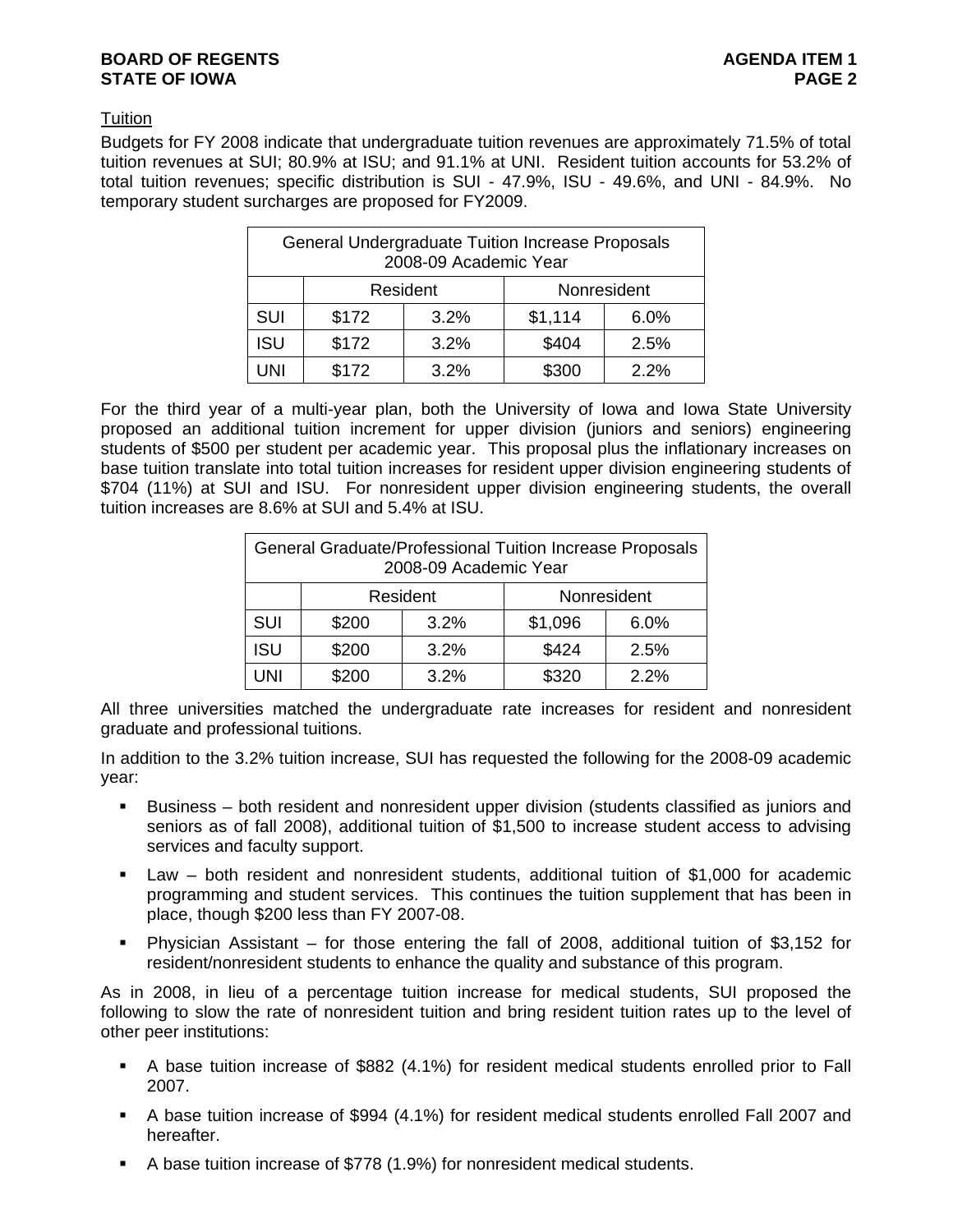### **BOARD OF REGENTS AGENTS AGENDA ITEM 1 STATE OF IOWA** PAGE 2

## **Tuition**

Budgets for FY 2008 indicate that undergraduate tuition revenues are approximately 71.5% of total tuition revenues at SUI; 80.9% at ISU; and 91.1% at UNI. Resident tuition accounts for 53.2% of total tuition revenues; specific distribution is SUI - 47.9%, ISU - 49.6%, and UNI - 84.9%. No temporary student surcharges are proposed for FY2009.

|                                       | General Undergraduate Tuition Increase Proposals | 2008-09 Academic Year |                 |      |  |  |  |  |
|---------------------------------------|--------------------------------------------------|-----------------------|-----------------|------|--|--|--|--|
| Resident<br>Nonresident               |                                                  |                       |                 |      |  |  |  |  |
| <b>SUI</b>                            | \$172                                            | 3.2%                  | \$1,114<br>6.0% |      |  |  |  |  |
| <b>ISU</b>                            | \$172                                            | 3.2%                  | \$404           | 2.5% |  |  |  |  |
| \$172<br>\$300<br>3.2%<br>2.2%<br>UNI |                                                  |                       |                 |      |  |  |  |  |

For the third year of a multi-year plan, both the University of Iowa and Iowa State University proposed an additional tuition increment for upper division (juniors and seniors) engineering students of \$500 per student per academic year. This proposal plus the inflationary increases on base tuition translate into total tuition increases for resident upper division engineering students of \$704 (11%) at SUI and ISU. For nonresident upper division engineering students, the overall tuition increases are 8.6% at SUI and 5.4% at ISU.

|                                       | General Graduate/Professional Tuition Increase Proposals<br>2008-09 Academic Year |      |                 |      |  |  |  |  |  |
|---------------------------------------|-----------------------------------------------------------------------------------|------|-----------------|------|--|--|--|--|--|
| Nonresident<br>Resident               |                                                                                   |      |                 |      |  |  |  |  |  |
| SUI                                   | \$200                                                                             | 3.2% | \$1,096<br>6.0% |      |  |  |  |  |  |
| <b>ISU</b>                            | \$200                                                                             | 3.2% | \$424           | 2.5% |  |  |  |  |  |
| \$320<br>\$200<br>3.2%<br>2.2%<br>UNI |                                                                                   |      |                 |      |  |  |  |  |  |

All three universities matched the undergraduate rate increases for resident and nonresident graduate and professional tuitions.

In addition to the 3.2% tuition increase, SUI has requested the following for the 2008-09 academic year:

- Business both resident and nonresident upper division (students classified as juniors and seniors as of fall 2008), additional tuition of \$1,500 to increase student access to advising services and faculty support.
- Law both resident and nonresident students, additional tuition of \$1,000 for academic programming and student services. This continues the tuition supplement that has been in place, though \$200 less than FY 2007-08.
- Physician Assistant for those entering the fall of 2008, additional tuition of \$3,152 for resident/nonresident students to enhance the quality and substance of this program.

As in 2008, in lieu of a percentage tuition increase for medical students, SUI proposed the following to slow the rate of nonresident tuition and bring resident tuition rates up to the level of other peer institutions:

- A base tuition increase of \$882 (4.1%) for resident medical students enrolled prior to Fall 2007.
- A base tuition increase of \$994 (4.1%) for resident medical students enrolled Fall 2007 and hereafter.
- A base tuition increase of \$778 (1.9%) for nonresident medical students.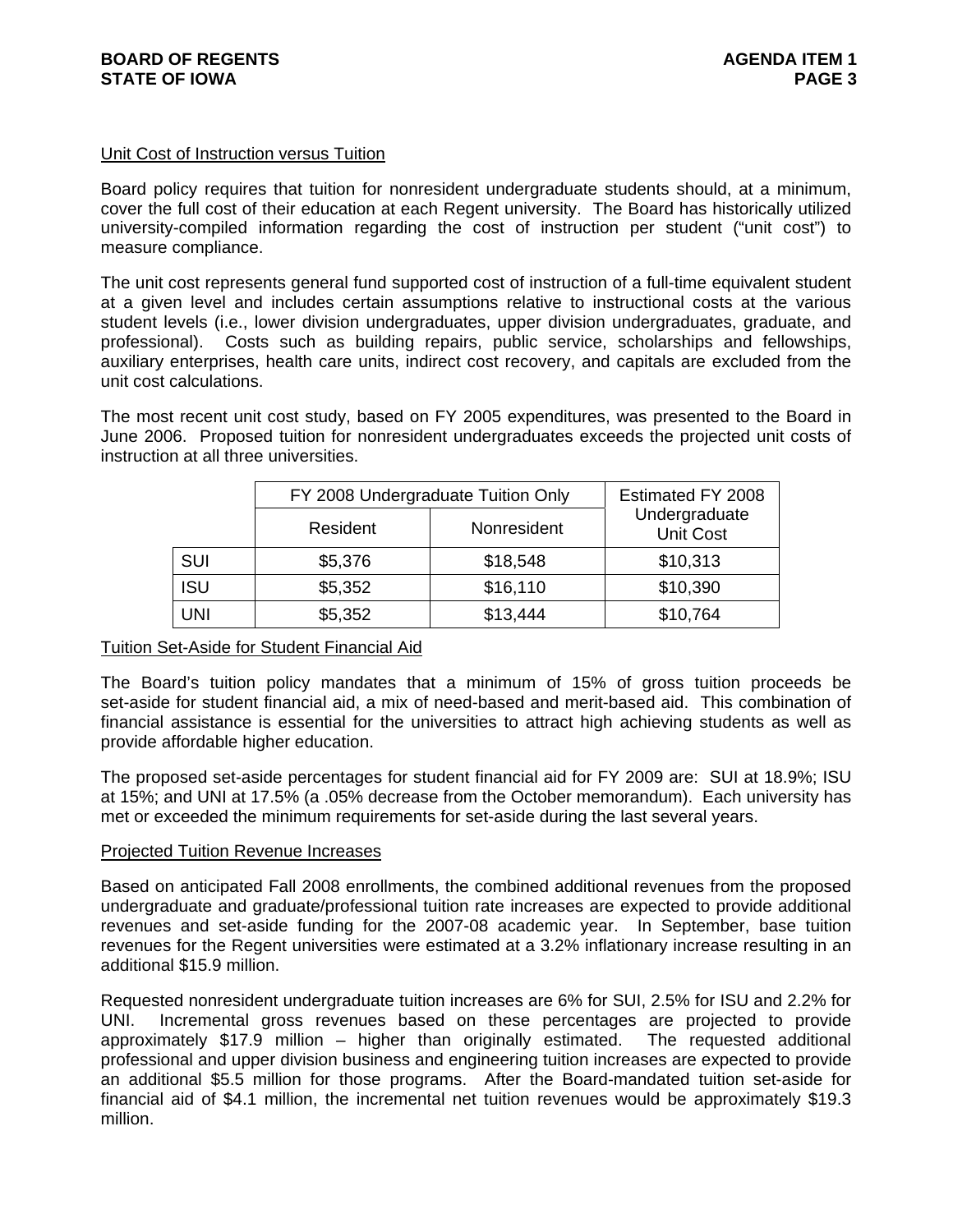### Unit Cost of Instruction versus Tuition

Board policy requires that tuition for nonresident undergraduate students should, at a minimum, cover the full cost of their education at each Regent university. The Board has historically utilized university-compiled information regarding the cost of instruction per student ("unit cost") to measure compliance.

The unit cost represents general fund supported cost of instruction of a full-time equivalent student at a given level and includes certain assumptions relative to instructional costs at the various student levels (i.e., lower division undergraduates, upper division undergraduates, graduate, and professional). Costs such as building repairs, public service, scholarships and fellowships, auxiliary enterprises, health care units, indirect cost recovery, and capitals are excluded from the unit cost calculations.

The most recent unit cost study, based on FY 2005 expenditures, was presented to the Board in June 2006. Proposed tuition for nonresident undergraduates exceeds the projected unit costs of instruction at all three universities.

|            | FY 2008 Undergraduate Tuition Only |             | Estimated FY 2008                 |
|------------|------------------------------------|-------------|-----------------------------------|
|            | Resident                           | Nonresident | Undergraduate<br><b>Unit Cost</b> |
| <b>SUI</b> | \$5,376                            | \$18,548    | \$10,313                          |
| <b>ISU</b> | \$5,352                            | \$16,110    | \$10,390                          |
| <b>UNI</b> | \$5,352                            | \$13,444    | \$10,764                          |

### Tuition Set-Aside for Student Financial Aid

The Board's tuition policy mandates that a minimum of 15% of gross tuition proceeds be set-aside for student financial aid, a mix of need-based and merit-based aid. This combination of financial assistance is essential for the universities to attract high achieving students as well as provide affordable higher education.

The proposed set-aside percentages for student financial aid for FY 2009 are: SUI at 18.9%; ISU at 15%; and UNI at 17.5% (a .05% decrease from the October memorandum). Each university has met or exceeded the minimum requirements for set-aside during the last several years.

### Projected Tuition Revenue Increases

Based on anticipated Fall 2008 enrollments, the combined additional revenues from the proposed undergraduate and graduate/professional tuition rate increases are expected to provide additional revenues and set-aside funding for the 2007-08 academic year. In September, base tuition revenues for the Regent universities were estimated at a 3.2% inflationary increase resulting in an additional \$15.9 million.

Requested nonresident undergraduate tuition increases are 6% for SUI, 2.5% for ISU and 2.2% for UNI. Incremental gross revenues based on these percentages are projected to provide approximately \$17.9 million – higher than originally estimated. The requested additional professional and upper division business and engineering tuition increases are expected to provide an additional \$5.5 million for those programs. After the Board-mandated tuition set-aside for financial aid of \$4.1 million, the incremental net tuition revenues would be approximately \$19.3 million.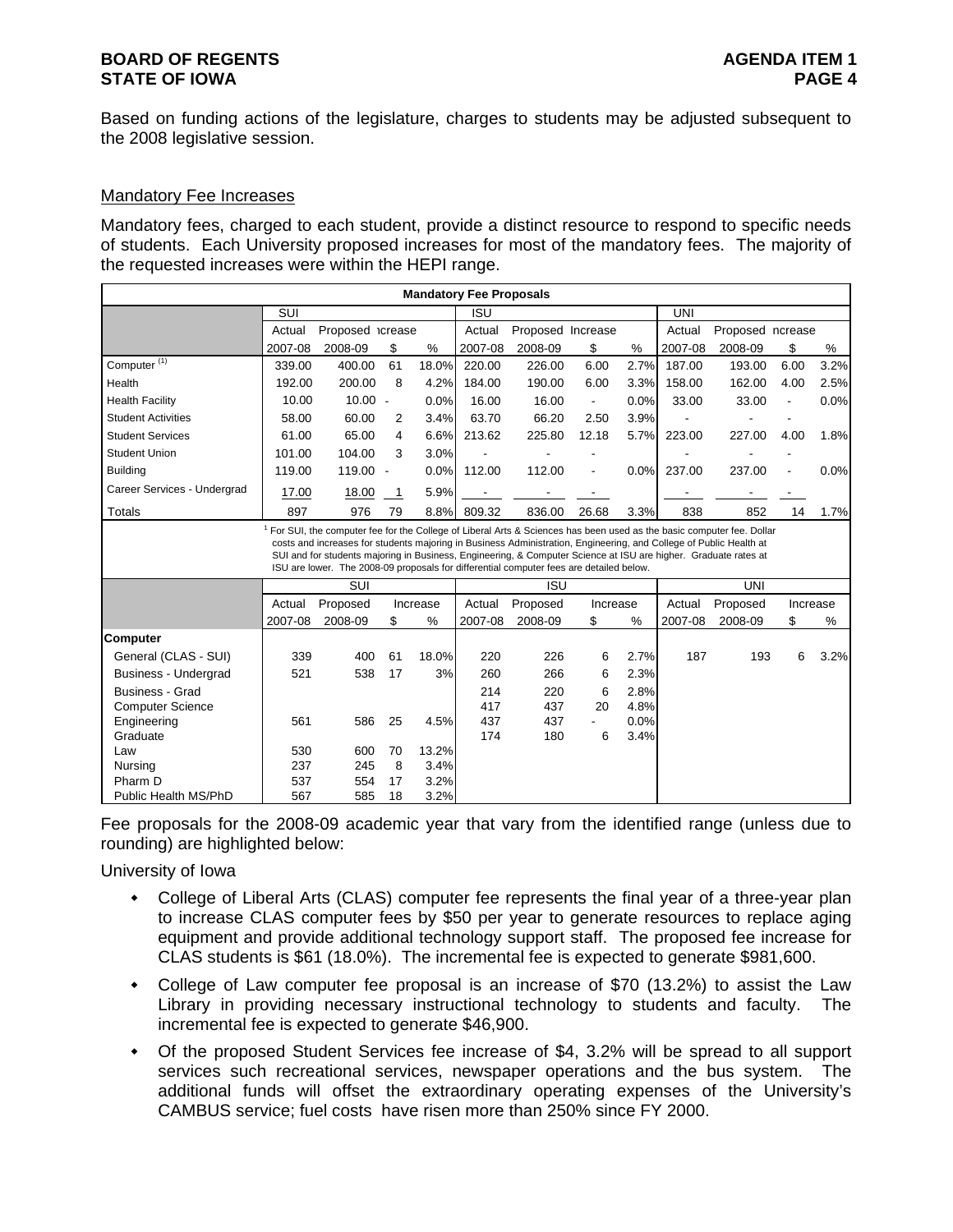## **BOARD OF REGENTS AGENTS AGENDA ITEM 1 STATE OF IOWA** PAGE 4

Based on funding actions of the legislature, charges to students may be adjusted subsequent to the 2008 legislative session.

### Mandatory Fee Increases

Mandatory fees, charged to each student, provide a distinct resource to respond to specific needs of students. Each University proposed increases for most of the mandatory fees. The majority of the requested increases were within the HEPI range.

| <b>Mandatory Fee Proposals</b> |            |                                                                                                                                                                                                                                                                                                                                  |                          |               |            |                   |                          |      |            |                  |                          |      |
|--------------------------------|------------|----------------------------------------------------------------------------------------------------------------------------------------------------------------------------------------------------------------------------------------------------------------------------------------------------------------------------------|--------------------------|---------------|------------|-------------------|--------------------------|------|------------|------------------|--------------------------|------|
|                                | SUI        |                                                                                                                                                                                                                                                                                                                                  |                          |               | <b>ISU</b> |                   |                          |      | <b>UNI</b> |                  |                          |      |
|                                | Actual     | Proposed icrease                                                                                                                                                                                                                                                                                                                 |                          |               | Actual     | Proposed Increase |                          |      | Actual     | Proposed ncrease |                          |      |
|                                | 2007-08    | 2008-09                                                                                                                                                                                                                                                                                                                          | \$                       | %             | 2007-08    | 2008-09           | \$                       | %    | 2007-08    | 2008-09          | \$                       | %    |
| Computer <sup>(1)</sup>        | 339.00     | 400.00                                                                                                                                                                                                                                                                                                                           | 61                       | 18.0%         | 220.00     | 226.00            | 6.00                     | 2.7% | 187.00     | 193.00           | 6.00                     | 3.2% |
| Health                         | 192.00     | 200.00                                                                                                                                                                                                                                                                                                                           | 8                        | 4.2%          | 184.00     | 190.00            | 6.00                     | 3.3% | 158.00     | 162.00           | 4.00                     | 2.5% |
| <b>Health Facility</b>         | 10.00      | $10.00 -$                                                                                                                                                                                                                                                                                                                        |                          | 0.0%          | 16.00      | 16.00             | $\overline{\phantom{a}}$ | 0.0% | 33.00      | 33.00            | $\overline{\phantom{a}}$ | 0.0% |
| <b>Student Activities</b>      | 58.00      | 60.00                                                                                                                                                                                                                                                                                                                            | 2                        | 3.4%          | 63.70      | 66.20             | 2.50                     | 3.9% |            |                  |                          |      |
| <b>Student Services</b>        | 61.00      | 65.00                                                                                                                                                                                                                                                                                                                            | 4                        | 6.6%          | 213.62     | 225.80            | 12.18                    | 5.7% | 223.00     | 227.00           | 4.00                     | 1.8% |
| <b>Student Union</b>           | 101.00     | 104.00                                                                                                                                                                                                                                                                                                                           | 3                        | 3.0%          |            |                   |                          |      |            |                  |                          |      |
| <b>Building</b>                | 119.00     | 119.00                                                                                                                                                                                                                                                                                                                           | $\overline{\phantom{a}}$ | 0.0%          | 112.00     | 112.00            |                          | 0.0% | 237.00     | 237.00           |                          | 0.0% |
| Career Services - Undergrad    | 17.00      | 18.00                                                                                                                                                                                                                                                                                                                            | -1                       | 5.9%          |            |                   |                          |      |            |                  |                          |      |
| <b>Totals</b>                  | 897        | 976                                                                                                                                                                                                                                                                                                                              | 79                       | 8.8%          | 809.32     | 836.00            | 26.68                    | 3.3% | 838        | 852              | 14                       | 1.7% |
|                                |            | costs and increases for students majoring in Business Administration, Engineering, and College of Public Health at<br>SUI and for students majoring in Business, Engineering, & Computer Science at ISU are higher. Graduate rates at<br>ISU are lower. The 2008-09 proposals for differential computer fees are detailed below. |                          |               |            |                   |                          |      |            |                  |                          |      |
|                                |            | SUI                                                                                                                                                                                                                                                                                                                              |                          |               |            | ISU               |                          |      |            | UNI              |                          |      |
|                                | Actual     | Proposed                                                                                                                                                                                                                                                                                                                         |                          | Increase      | Actual     | Proposed          | Increase                 |      | Actual     | Proposed         | Increase                 |      |
|                                | 2007-08    | 2008-09                                                                                                                                                                                                                                                                                                                          | \$                       | %             | 2007-08    | 2008-09           | \$                       | %    | 2007-08    | 2008-09          | \$                       | %    |
| <b>Computer</b>                |            |                                                                                                                                                                                                                                                                                                                                  |                          |               |            |                   |                          |      |            |                  |                          |      |
| General (CLAS - SUI)           | 339        | 400                                                                                                                                                                                                                                                                                                                              | 61                       | 18.0%         | 220        | 226               | 6                        | 2.7% | 187        | 193              | 6                        | 3.2% |
| <b>Business - Undergrad</b>    | 521        | 538                                                                                                                                                                                                                                                                                                                              | 17                       | 3%            | 260        | 266               | 6                        | 2.3% |            |                  |                          |      |
| <b>Business - Grad</b>         |            |                                                                                                                                                                                                                                                                                                                                  |                          |               | 214        | 220               | 6                        | 2.8% |            |                  |                          |      |
| <b>Computer Science</b>        |            |                                                                                                                                                                                                                                                                                                                                  |                          |               | 417        | 437               | 20                       | 4.8% |            |                  |                          |      |
| Engineering                    | 561        | 586                                                                                                                                                                                                                                                                                                                              | 25                       | 4.5%          | 437        | 437               |                          | 0.0% |            |                  |                          |      |
| Graduate                       |            |                                                                                                                                                                                                                                                                                                                                  |                          |               | 174        | 180               | 6                        | 3.4% |            |                  |                          |      |
| Law                            | 530<br>237 | 600<br>245                                                                                                                                                                                                                                                                                                                       | 70<br>8                  | 13.2%<br>3.4% |            |                   |                          |      |            |                  |                          |      |
| Nursing<br>Pharm D             | 537        | 554                                                                                                                                                                                                                                                                                                                              | 17                       | 3.2%          |            |                   |                          |      |            |                  |                          |      |
| Public Health MS/PhD           | 567        | 585                                                                                                                                                                                                                                                                                                                              | 18                       | 3.2%          |            |                   |                          |      |            |                  |                          |      |

Fee proposals for the 2008-09 academic year that vary from the identified range (unless due to rounding) are highlighted below:

University of Iowa

- College of Liberal Arts (CLAS) computer fee represents the final year of a three-year plan to increase CLAS computer fees by \$50 per year to generate resources to replace aging equipment and provide additional technology support staff. The proposed fee increase for CLAS students is \$61 (18.0%). The incremental fee is expected to generate \$981,600.
- College of Law computer fee proposal is an increase of \$70 (13.2%) to assist the Law Library in providing necessary instructional technology to students and faculty. The incremental fee is expected to generate \$46,900.
- Of the proposed Student Services fee increase of \$4, 3.2% will be spread to all support services such recreational services, newspaper operations and the bus system. The additional funds will offset the extraordinary operating expenses of the University's CAMBUS service; fuel costs have risen more than 250% since FY 2000.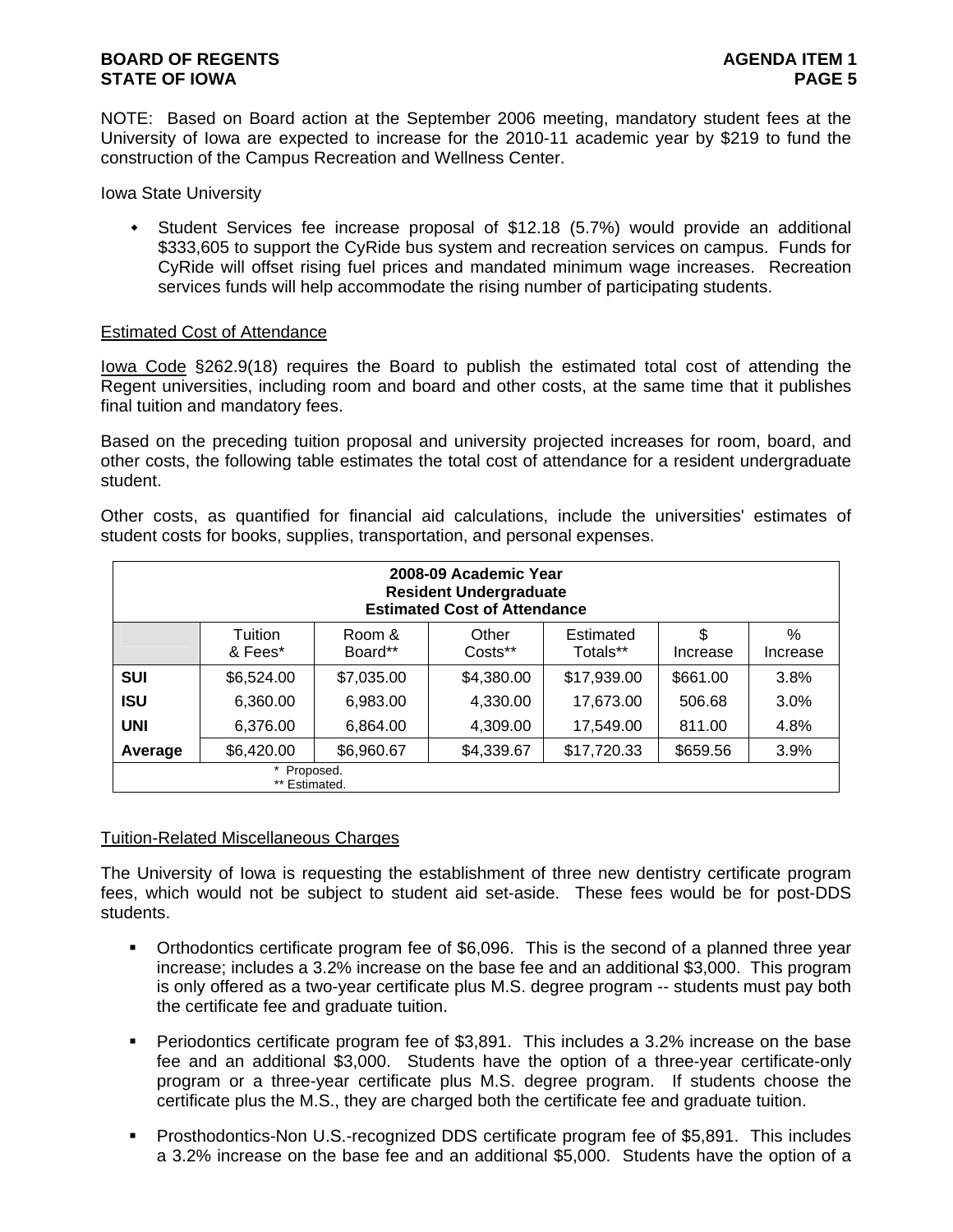### **BOARD OF REGENTS AGENTS AGENDA ITEM 1 STATE OF IOWA** PAGE 5

NOTE: Based on Board action at the September 2006 meeting, mandatory student fees at the University of Iowa are expected to increase for the 2010-11 academic year by \$219 to fund the construction of the Campus Recreation and Wellness Center.

Iowa State University

 Student Services fee increase proposal of \$12.18 (5.7%) would provide an additional \$333,605 to support the CyRide bus system and recreation services on campus. Funds for CyRide will offset rising fuel prices and mandated minimum wage increases. Recreation services funds will help accommodate the rising number of participating students.

### Estimated Cost of Attendance

Iowa Code §262.9(18) requires the Board to publish the estimated total cost of attending the Regent universities, including room and board and other costs, at the same time that it publishes final tuition and mandatory fees.

Based on the preceding tuition proposal and university projected increases for room, board, and other costs, the following table estimates the total cost of attendance for a resident undergraduate student.

Other costs, as quantified for financial aid calculations, include the universities' estimates of student costs for books, supplies, transportation, and personal expenses.

| 2008-09 Academic Year<br><b>Resident Undergraduate</b><br><b>Estimated Cost of Attendance</b> |                                                                           |                   |                  |                       |                |               |  |  |  |  |  |
|-----------------------------------------------------------------------------------------------|---------------------------------------------------------------------------|-------------------|------------------|-----------------------|----------------|---------------|--|--|--|--|--|
|                                                                                               | Tuition<br>& Fees*                                                        | Room &<br>Board** | Other<br>Costs** | Estimated<br>Totals** | \$<br>Increase | %<br>Increase |  |  |  |  |  |
| <b>SUI</b>                                                                                    | \$6,524.00                                                                | \$7,035.00        | \$4,380.00       | \$17,939.00           | \$661.00       | 3.8%          |  |  |  |  |  |
| <b>ISU</b>                                                                                    | 6,360.00                                                                  | 6,983.00          | 4,330.00         | 17,673.00             | 506.68         | 3.0%          |  |  |  |  |  |
| <b>UNI</b>                                                                                    | 6,376.00                                                                  | 6,864.00          | 4,309.00         | 17,549.00             | 811.00         | 4.8%          |  |  |  |  |  |
| Average                                                                                       | \$6,420.00<br>\$6,960.67<br>\$17,720.33<br>\$4,339.67<br>3.9%<br>\$659.56 |                   |                  |                       |                |               |  |  |  |  |  |
|                                                                                               | Proposed.<br>** Estimated.                                                |                   |                  |                       |                |               |  |  |  |  |  |

### Tuition-Related Miscellaneous Charges

The University of Iowa is requesting the establishment of three new dentistry certificate program fees, which would not be subject to student aid set-aside. These fees would be for post-DDS students.

- Orthodontics certificate program fee of \$6,096. This is the second of a planned three year increase; includes a 3.2% increase on the base fee and an additional \$3,000. This program is only offered as a two-year certificate plus M.S. degree program -- students must pay both the certificate fee and graduate tuition.
- Periodontics certificate program fee of \$3,891. This includes a 3.2% increase on the base fee and an additional \$3,000. Students have the option of a three-year certificate-only program or a three-year certificate plus M.S. degree program. If students choose the certificate plus the M.S., they are charged both the certificate fee and graduate tuition.
- Prosthodontics-Non U.S.-recognized DDS certificate program fee of \$5,891. This includes a 3.2% increase on the base fee and an additional \$5,000. Students have the option of a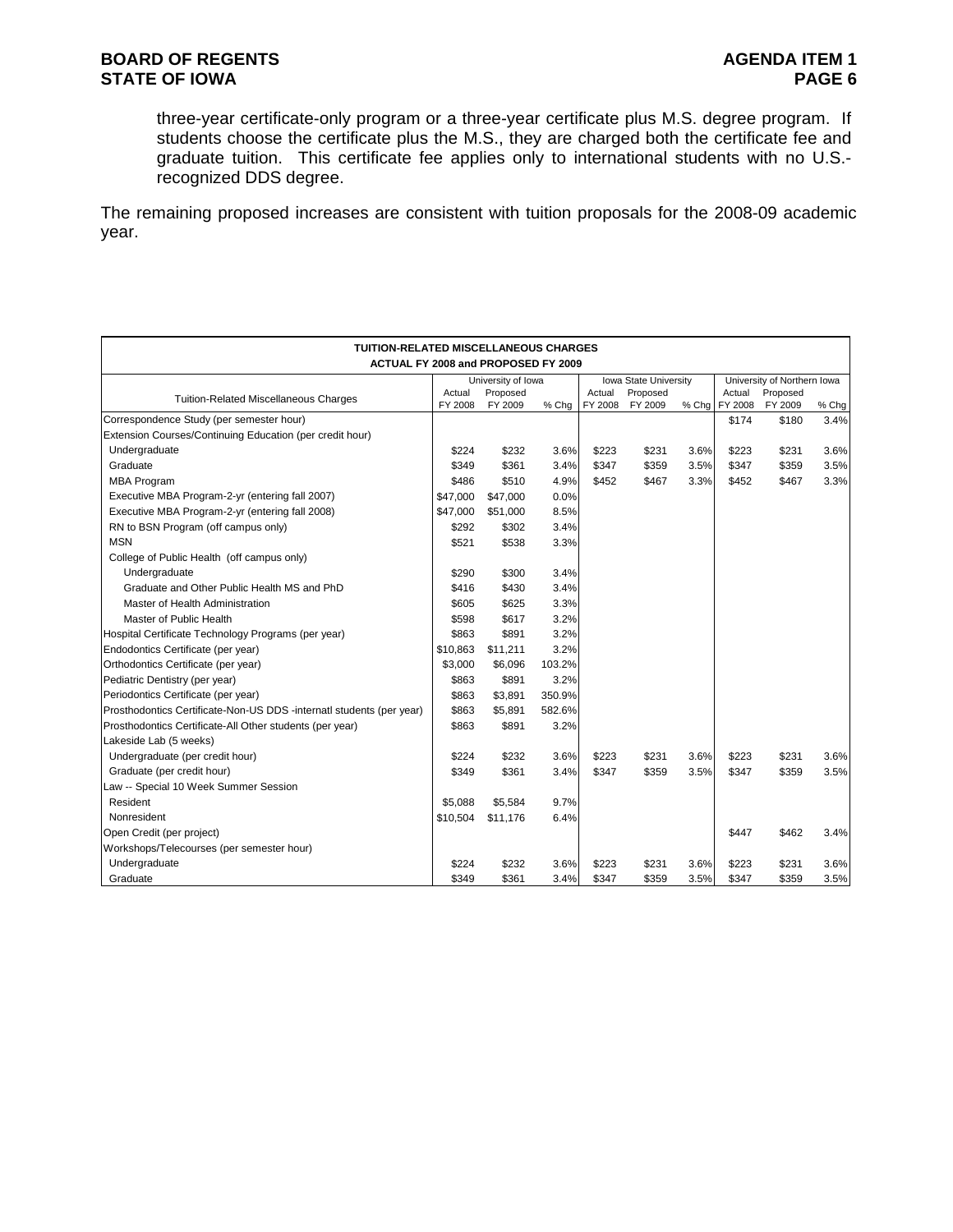three-year certificate-only program or a three-year certificate plus M.S. degree program. If students choose the certificate plus the M.S., they are charged both the certificate fee and graduate tuition. This certificate fee applies only to international students with no U.S. recognized DDS degree.

The remaining proposed increases are consistent with tuition proposals for the 2008-09 academic year.

| <b>TUITION-RELATED MISCELLANEOUS CHARGES</b>                         |                   |                     |        |                   |                       |       |                   |                             |       |
|----------------------------------------------------------------------|-------------------|---------------------|--------|-------------------|-----------------------|-------|-------------------|-----------------------------|-------|
| ACTUAL FY 2008 and PROPOSED FY 2009                                  |                   |                     |        |                   |                       |       |                   |                             |       |
|                                                                      |                   | University of Iowa  |        |                   | Iowa State University |       |                   | University of Northern Iowa |       |
| <b>Tuition-Related Miscellaneous Charges</b>                         | Actual<br>FY 2008 | Proposed<br>FY 2009 | % Chq  | Actual<br>FY 2008 | Proposed<br>FY 2009   | % Chg | Actual<br>FY 2008 | Proposed<br>FY 2009         | % Chg |
| Correspondence Study (per semester hour)                             |                   |                     |        |                   |                       |       | \$174             | \$180                       | 3.4%  |
| Extension Courses/Continuing Education (per credit hour)             |                   |                     |        |                   |                       |       |                   |                             |       |
| Undergraduate                                                        | \$224             | \$232               | 3.6%   | \$223             | \$231                 | 3.6%  | \$223             | \$231                       | 3.6%  |
| Graduate                                                             | \$349             | \$361               | 3.4%   | \$347             | \$359                 | 3.5%  | \$347             | \$359                       | 3.5%  |
| <b>MBA Program</b>                                                   | \$486             | \$510               | 4.9%   | \$452             | \$467                 | 3.3%  | \$452             | \$467                       | 3.3%  |
| Executive MBA Program-2-yr (entering fall 2007)                      | \$47,000          | \$47,000            | 0.0%   |                   |                       |       |                   |                             |       |
| Executive MBA Program-2-yr (entering fall 2008)                      | \$47,000          | \$51,000            | 8.5%   |                   |                       |       |                   |                             |       |
| RN to BSN Program (off campus only)                                  | \$292             | \$302               | 3.4%   |                   |                       |       |                   |                             |       |
| <b>MSN</b>                                                           | \$521             | \$538               | 3.3%   |                   |                       |       |                   |                             |       |
| College of Public Health (off campus only)                           |                   |                     |        |                   |                       |       |                   |                             |       |
| Undergraduate                                                        | \$290             | \$300               | 3.4%   |                   |                       |       |                   |                             |       |
| Graduate and Other Public Health MS and PhD                          | \$416             | \$430               | 3.4%   |                   |                       |       |                   |                             |       |
| Master of Health Administration                                      | \$605             | \$625               | 3.3%   |                   |                       |       |                   |                             |       |
| Master of Public Health                                              | \$598             | \$617               | 3.2%   |                   |                       |       |                   |                             |       |
| Hospital Certificate Technology Programs (per year)                  | \$863             | \$891               | 3.2%   |                   |                       |       |                   |                             |       |
| Endodontics Certificate (per year)                                   | \$10,863          | \$11,211            | 3.2%   |                   |                       |       |                   |                             |       |
| Orthodontics Certificate (per year)                                  | \$3,000           | \$6,096             | 103.2% |                   |                       |       |                   |                             |       |
| Pediatric Dentistry (per year)                                       | \$863             | \$891               | 3.2%   |                   |                       |       |                   |                             |       |
| Periodontics Certificate (per year)                                  | \$863             | \$3,891             | 350.9% |                   |                       |       |                   |                             |       |
| Prosthodontics Certificate-Non-US DDS -internatl students (per year) | \$863             | \$5,891             | 582.6% |                   |                       |       |                   |                             |       |
| Prosthodontics Certificate-All Other students (per year)             | \$863             | \$891               | 3.2%   |                   |                       |       |                   |                             |       |
| Lakeside Lab (5 weeks)                                               |                   |                     |        |                   |                       |       |                   |                             |       |
| Undergraduate (per credit hour)                                      | \$224             | \$232               | 3.6%   | \$223             | \$231                 | 3.6%  | \$223             | \$231                       | 3.6%  |
| Graduate (per credit hour)                                           | \$349             | \$361               | 3.4%   | \$347             | \$359                 | 3.5%  | \$347             | \$359                       | 3.5%  |
| Law -- Special 10 Week Summer Session                                |                   |                     |        |                   |                       |       |                   |                             |       |
| Resident                                                             | \$5,088           | \$5,584             | 9.7%   |                   |                       |       |                   |                             |       |
| Nonresident                                                          | \$10,504          | \$11,176            | 6.4%   |                   |                       |       |                   |                             |       |
| Open Credit (per project)                                            |                   |                     |        |                   |                       |       | \$447             | \$462                       | 3.4%  |
| Workshops/Telecourses (per semester hour)                            |                   |                     |        |                   |                       |       |                   |                             |       |
| Undergraduate                                                        | \$224             | \$232               | 3.6%   | \$223             | \$231                 | 3.6%  | \$223             | \$231                       | 3.6%  |
| Graduate                                                             | \$349             | \$361               | 3.4%   | \$347             | \$359                 | 3.5%  | \$347             | \$359                       | 3.5%  |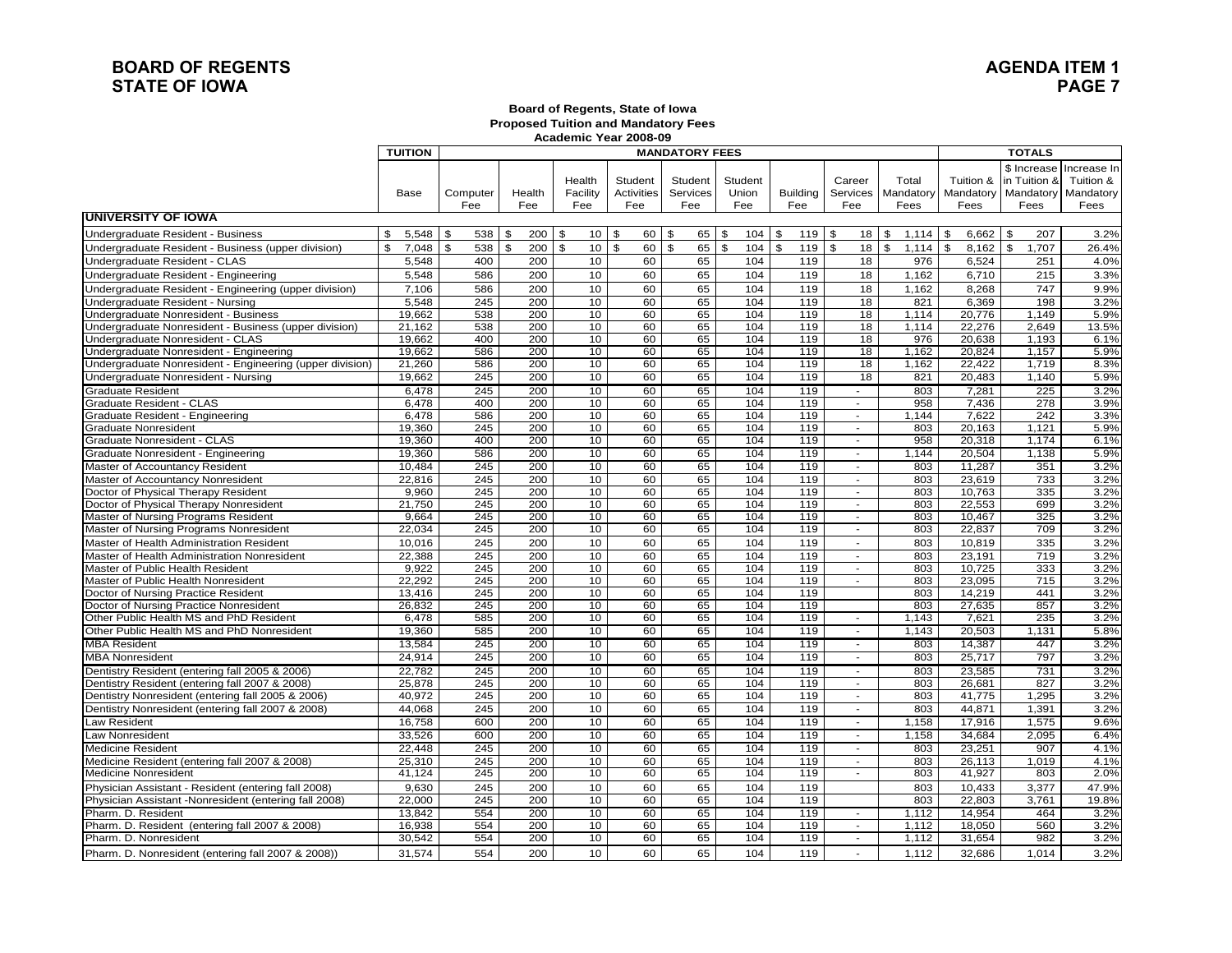### **BOARD OF REGENTS STATE OF IOWA**

## **AGENDA ITEM 1PAGE 7**

#### **Board of Regents, State of Iowa Proposed Tuition and Mandatory Fees Academic Year 2008-09**

|                                                          | <b>TUITION</b> |                     | <b>MANDATORY FEES</b> |                                 |                              |                            |                         |                        |                             |                            | <b>TOTALS</b>           |                                                            |                                               |
|----------------------------------------------------------|----------------|---------------------|-----------------------|---------------------------------|------------------------------|----------------------------|-------------------------|------------------------|-----------------------------|----------------------------|-------------------------|------------------------------------------------------------|-----------------------------------------------|
|                                                          | Base           | Computer<br>Fee     | Health<br>Fee         | Health<br>Facility<br>Fee       | Student<br>Activities<br>Fee | Student<br>Services<br>Fee | Student<br>Union<br>Fee | <b>Building</b><br>Fee | Career<br>Services<br>Fee   | Total<br>Mandatory<br>Fees | Tuition &<br>Fees       | \$ Increase<br>in Tuition &<br>Mandatory Mandatory<br>Fees | Increase In<br>Tuition &<br>Mandatory<br>Fees |
| <b>UNIVERSITY OF IOWA</b>                                |                |                     |                       |                                 |                              |                            |                         |                        |                             |                            |                         |                                                            |                                               |
| Undergraduate Resident - Business                        | 5,548          | \$<br>538           | \$                    | $10$ \ \$                       | 60                           | <b>S</b><br>65             | \$<br>104               | \$<br>119              | \$<br>18                    | \$<br>1.114                | \$<br>6,662             | \$<br>207                                                  | 3.2%                                          |
| Undergraduate Resident - Business (upper division)       | \$<br>7,048    | $\mathbf{s}$<br>538 | \$<br>200             | $\mathbf{s}$<br>10 <sup>1</sup> | $\mathfrak{L}$<br>60         | \$<br>65                   | $\mathfrak{S}$<br>104   | \$<br>119              | $\mathfrak{s}$<br>18        | $\mathbb{S}$<br>1,114      | $\mathfrak{S}$<br>8,162 | $\mathfrak s$<br>1,707                                     | 26.4%                                         |
| Undergraduate Resident - CLAS                            | 5.548          | 400                 | 200                   | 10                              | 60                           | 65                         | 104                     | 119                    | 18                          | 976                        | 6,524                   | 251                                                        | 4.0%                                          |
| Undergraduate Resident - Engineering                     | 5,548          | 586                 | 200                   | 10                              | 60                           | 65                         | 104                     | 119                    | 18                          | 1,162                      | 6,710                   | 215                                                        | 3.3%                                          |
| Undergraduate Resident - Engineering (upper division)    | 7,106          | 586                 | 200                   | 10                              | 60                           | 65                         | 104                     | 119                    | 18                          | 1,162                      | 8,268                   | 747                                                        | 9.9%                                          |
| Undergraduate Resident - Nursing                         | 5,548          | 245                 | 200                   | 10                              | 60                           | 65                         | 104                     | 119                    | 18                          | 821                        | 6,369                   | 198                                                        | 3.2%                                          |
| Undergraduate Nonresident - Business                     | 19.662         | 538                 | 200                   | 10                              | 60                           | 65                         | 104                     | 119                    | 18                          | 1.114                      | 20.776                  | 1.149                                                      | 5.9%                                          |
| Undergraduate Nonresident - Business (upper division)    | 21,162         | 538                 | 200                   | 10                              | 60                           | 65                         | 104                     | 119                    | 18                          | 1,114                      | 22,276                  | 2,649                                                      | 13.5%                                         |
| Undergraduate Nonresident - CLAS                         | 19.662         | 400                 | 200                   | 10 <sup>1</sup>                 | 60                           | 65                         | 104                     | 119                    | 18                          | 976                        | 20,638                  | 1.193                                                      | 6.1%                                          |
| Undergraduate Nonresident - Engineering                  | 19,662         | 586                 | 200                   | 10                              | 60                           | 65                         | 104                     | 119                    | 18                          | 1,162                      | 20,824                  | 1,157                                                      | 5.9%                                          |
| Undergraduate Nonresident - Engineering (upper division) | 21,260         | 586                 | 200                   | 10                              | 60                           | 65                         | 104                     | 119                    | 18                          | 1,162                      | 22,422                  | 1,719                                                      | 8.3%                                          |
| Undergraduate Nonresident - Nursing                      | 19,662         | 245                 | 200                   | 10                              | 60                           | 65                         | 104                     | 119                    | 18                          | 821                        | 20,483                  | 1,140                                                      | 5.9%                                          |
| <b>Graduate Resident</b>                                 | 6.478          | 245                 | 200                   | 10                              | 60                           | 65                         | 104                     | 119                    |                             | 803                        | 7.281                   | 225                                                        | 3.2%                                          |
| Graduate Resident - CLAS                                 | 6,478          | 400                 | 200                   | 10                              | 60                           | 65                         | 104                     | 119                    | $\sim$                      | 958                        | 7,436                   | 278                                                        | 3.9%                                          |
| Graduate Resident - Engineering                          | 6.478          | 586                 | 200                   | 10                              | 60                           | 65                         | 104                     | 119                    | $\sim$                      | 1.144                      | 7.622                   | 242                                                        | 3.3%                                          |
| <b>Graduate Nonresident</b>                              | 19,360         | 245                 | 200                   | 10                              | 60                           | 65                         | 104                     | 119                    | $\mathcal{L}$               | 803                        | 20,163                  | 1,121                                                      | 5.9%                                          |
| Graduate Nonresident - CLAS                              | 19,360         | 400                 | 200                   | 10                              | 60                           | 65                         | 104                     | 119                    | $\sim$                      | 958                        | 20,318                  | 1,174                                                      | 6.1%                                          |
| Graduate Nonresident - Engineering                       | 19,360         | 586                 | 200                   | 10                              | 60                           | 65                         | 104                     | 119                    | $\sim$                      | 1,144                      | 20,504                  | 1,138                                                      | 5.9%                                          |
| Master of Accountancy Resident                           | 10.484         | 245                 | 200                   | 10                              | 60                           | 65                         | 104                     | 119                    |                             | 803                        | 11.287                  | 351                                                        | 3.2%                                          |
| Master of Accountancy Nonresident                        | 22,816         | 245                 | 200                   | 10                              | 60                           | 65                         | 104                     | 119                    | $\sim$                      | 803                        | 23,619                  | 733                                                        | 3.2%                                          |
| Doctor of Physical Therapy Resident                      | 9,960          | $\overline{245}$    | 200                   | 10                              | 60                           | 65                         | 104                     | 119                    | $\sim$                      | 803                        | 10.763                  | 335                                                        | 3.2%                                          |
| Doctor of Physical Therapy Nonresident                   | 21,750         | 245                 | 200                   | 10                              | 60                           | 65                         | 104                     | 119                    | $\mathcal{L}$               | 803                        | 22,553                  | 699                                                        | 3.2%                                          |
| Master of Nursing Programs Resident                      | 9,664          | 245                 | 200                   | 10                              | 60                           | 65                         | 104                     | 119                    | $\sim$                      | 803                        | 10,467                  | 325                                                        | 3.2%                                          |
| Master of Nursing Programs Nonresident                   | 22,034         | 245                 | 200                   | 10                              | 60                           | 65                         | 104                     | 119                    | $\blacksquare$              | 803                        | 22,837                  | 709                                                        | 3.2%                                          |
| Master of Health Administration Resident                 | 10.016         | 245                 | 200                   | 10                              | 60                           | 65                         | 104                     | 119                    | $\overline{a}$              | 803                        | 10.819                  | 335                                                        | 3.2%                                          |
| Master of Health Administration Nonresident              | 22,388         | 245                 | 200                   | 10                              | 60                           | 65                         | 104                     | 119                    | $\blacksquare$              | 803                        | 23,191                  | 719                                                        | 3.2%                                          |
| Master of Public Health Resident                         | 9,922          | 245                 | 200                   | 10                              | 60                           | 65                         | 104                     | 119                    | $\sim$                      | 803                        | 10.725                  | 333                                                        | 3.2%                                          |
| Master of Public Health Nonresident                      | 22,292         | 245                 | 200                   | 10                              | 60                           | 65                         | 104                     | 119                    | $\mathcal{L}_{\mathcal{A}}$ | 803                        | 23,095                  | 715                                                        | 3.2%                                          |
| Doctor of Nursing Practice Resident                      | 13,416         | 245                 | 200                   | 10                              | 60                           | 65                         | 104                     | 119                    |                             | 803                        | 14,219                  | 441                                                        | 3.2%                                          |
| Doctor of Nursing Practice Nonresident                   | 26,832         | 245                 | 200                   | 10                              | 60                           | 65                         | 104                     | 119                    |                             | 803                        | 27,635                  | 857                                                        | 3.2%                                          |
| Other Public Health MS and PhD Resident                  | 6.478          | 585                 | 200                   | 10                              | 60                           | 65                         | 104                     | 119                    | $\sim$                      | 1,143                      | 7,621                   | 235                                                        | 3.2%                                          |
| Other Public Health MS and PhD Nonresident               | 19,360         | 585                 | 200                   | 10                              | 60                           | 65                         | 104                     | 119                    | $\sim$                      | 1,143                      | 20,503                  | 1,131                                                      | 5.8%                                          |
| <b>MBA Resident</b>                                      | 13,584         | 245                 | 200                   | 10                              | 60                           | 65                         | 104                     | 119                    | $\sim$                      | 803                        | 14,387                  | 447                                                        | 3.2%                                          |
| <b>MBA Nonresident</b>                                   | 24,914         | 245                 | 200                   | 10                              | 60                           | 65                         | 104                     | 119                    | $\sim$                      | 803                        | 25,717                  | 797                                                        | 3.2%                                          |
| Dentistry Resident (entering fall 2005 & 2006)           | 22,782         | 245                 | 200                   | 10                              | 60                           | 65                         | 104                     | 119                    | $\sim$                      | 803                        | 23,585                  | 731                                                        | 3.2%                                          |
| Dentistry Resident (entering fall 2007 & 2008)           | 25,878         | 245                 | 200                   | 10                              | 60                           | 65                         | 104                     | 119                    | $\sim$                      | 803                        | 26,681                  | 827                                                        | 3.2%                                          |
| Dentistry Nonresident (entering fall 2005 & 2006)        | 40.972         | 245                 | 200                   | 10                              | 60                           | 65                         | 104                     | 119                    | $\sim$                      | 803                        | 41.775                  | 1,295                                                      | 3.2%                                          |
| Dentistry Nonresident (entering fall 2007 & 2008)        | 44,068         | 245                 | 200                   | 10                              | 60                           | 65                         | 104                     | 119                    | $\sim$                      | 803                        | 44,871                  | 1,391                                                      | 3.2%                                          |
| Law Resident                                             | 16,758         | 600                 | 200                   | 10                              | 60                           | 65                         | 104                     | 119                    | $\sim$                      | 1,158                      | 17,916                  | 1,575                                                      | 9.6%                                          |
| Law Nonresident                                          | 33,526         | 600                 | 200                   | 10                              | 60                           | 65                         | 104                     | 119                    | $\sim$                      | 1,158                      | 34,684                  | 2,095                                                      | 6.4%                                          |
| <b>Medicine Resident</b>                                 | 22.448         | 245                 | 200                   | 10                              | 60                           | 65                         | 104                     | 119                    |                             | 803                        | 23.251                  | 907                                                        | 4.1%                                          |
| Medicine Resident (entering fall 2007 & 2008)            | 25,310         | 245                 | 200                   | 10                              | 60                           | 65                         | 104                     | 119                    | $\sim$                      | 803                        | 26,113                  | 1,019                                                      | 4.1%                                          |
| <b>Medicine Nonresident</b>                              | 41,124         | 245                 | 200                   | 10                              | 60                           | 65                         | 104                     | 119                    | $\sim$                      | 803                        | 41,927                  | 803                                                        | 2.0%                                          |
| Physician Assistant - Resident (entering fall 2008)      | 9.630          | 245                 | 200                   | 10                              | 60                           | 65                         | 104                     | 119                    |                             | 803                        | 10,433                  | 3,377                                                      | 47.9%                                         |
| Physician Assistant -Nonresident (entering fall 2008)    | 22.000         | 245                 | 200                   | 10                              | 60                           | 65                         | 104                     | 119                    |                             | 803                        | 22.803                  | 3,761                                                      | 19.8%                                         |
| Pharm. D. Resident                                       | 13,842         | 554                 | 200                   | 10                              | 60                           | 65                         | 104                     | 119                    | $\sim$                      | 1,112                      | 14,954                  | 464                                                        | 3.2%                                          |
| Pharm. D. Resident (entering fall 2007 & 2008)           | 16,938         | 554                 | 200                   | 10                              | 60                           | 65                         | 104                     | 119                    | $\sim$                      | 1.112                      | 18.050                  | 560                                                        | 3.2%                                          |
| Pharm. D. Nonresident                                    | 30,542         | 554                 | 200                   | 10                              | 60                           | 65                         | 104                     | 119                    | $\sim$                      | 1,112                      | 31,654                  | 982                                                        | 3.2%                                          |
| Pharm. D. Nonresident (entering fall 2007 & 2008))       | 31.574         | 554                 | 200                   | 10                              | 60                           | 65                         | 104                     | 119                    | a.                          | 1.112                      | 32.686                  | 1.014                                                      | 3.2%                                          |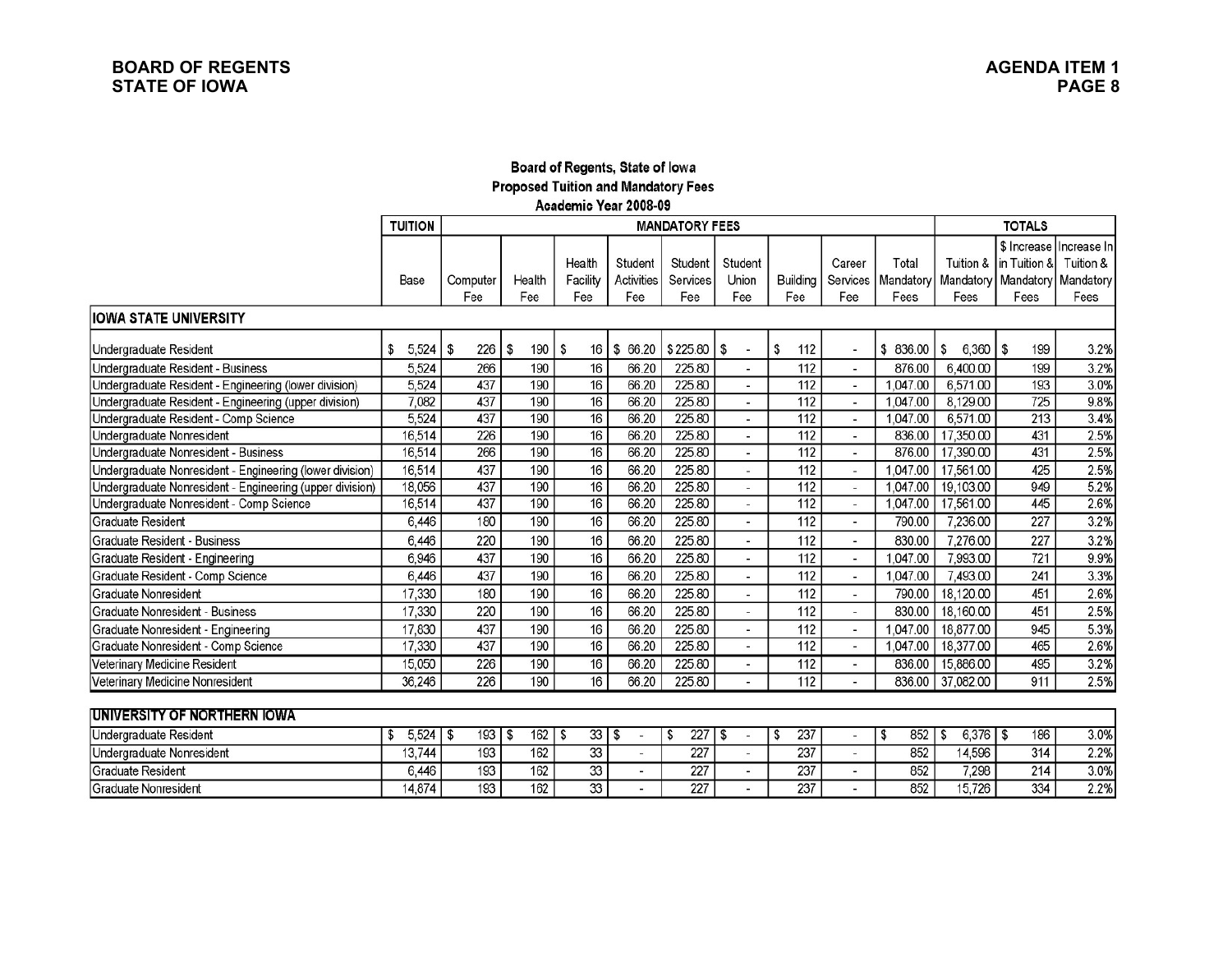## Board of Regents, State of Iowa **Proposed Tuition and Mandatory Fees** Academic Year 2008-09

|                                                          | <b>TUITION</b> |        |           |   |            |          |                   | <b>MANDATORY FEES</b> |                          |                 |                          |           | <b>TOTALS</b>      |                                   |             |
|----------------------------------------------------------|----------------|--------|-----------|---|------------|----------|-------------------|-----------------------|--------------------------|-----------------|--------------------------|-----------|--------------------|-----------------------------------|-------------|
|                                                          |                |        |           |   |            |          |                   |                       |                          |                 |                          |           |                    | \$ Increase                       | Increase In |
|                                                          |                |        |           |   |            | Health   | Student           | Student               | Student                  |                 | Career                   | Total     |                    | Tuition & In Tuition &            | Tuition &   |
|                                                          | Base           |        | Computer  |   | Health     | Facility | <b>Activities</b> | Services              | Union                    | <b>Building</b> | Services                 | Mandatory |                    | Mandatory   Mandatory   Mandatory |             |
|                                                          |                |        | Fee       |   | Fee        | Fee      | Fee               | Fee                   | Fee                      | Fee             | Fee                      | Fees      | Fees               | Fees                              | Fees        |
| <b>IOWA STATE UNIVERSITY</b>                             |                |        |           |   |            |          |                   |                       |                          |                 |                          |           |                    |                                   |             |
| <b>Undergraduate Resident</b>                            | \$             | 5,524  | \$<br>226 | S | 190        | \$<br>16 | \$ 66.20          | \$225.80              | S                        | \$<br>112       |                          | \$ 836.00 | $6,360$ \$<br>\$   | 199                               | 3.2%        |
| Undergraduate Resident - Business                        |                | 5,524  | 266       |   | 190        | 16       | 66.20             | 225.80                |                          | 112             |                          | 876.00    | 6.400.00           | 199                               | 3.2%        |
| Undergraduate Resident - Engineering (lower division)    |                | 5,524  | 437       |   | 190        | 16       | 66.20             | 225.80                |                          | 112             |                          | 1,047.00  | 6,571.00           | 193                               | 3.0%        |
| Undergraduate Resident - Engineering (upper division)    |                | 7,082  | 437       |   | 190        | 16       | 66.20             | 225.80                |                          | 112             | $\overline{\phantom{a}}$ | 1.047.00  | 8.129.00           | 725                               | 9.8%        |
| Undergraduate Resident - Comp Science                    |                | 5,524  | 437       |   | 190        | 16       | 66.20             | 225.80                |                          | 112             | $\overline{a}$           | 1,047.00  | 6,571.00           | 213                               | 3.4%        |
| Undergraduate Nonresident                                |                | 16,514 | 226       |   | 190        | 16       | 66.20             | 225.80                | ä,                       | 112             | $\overline{\phantom{a}}$ | 836.00    | 17,350.00          | 431                               | 2.5%        |
| Undergraduate Nonresident - Business                     |                | 16,514 | 266       |   | 190        | 16       | 66.20             | 225.80                | $\blacksquare$           | 112             | $\blacksquare$           | 876.00    | 17,390.00          | 431                               | 2.5%        |
| Undergraduate Nonresident - Engineering (lower division) |                | 16,514 | 437       |   | 190        | 16       | 66.20             | 225.80                |                          | 112             |                          | 1.047.00  | 17,561.00          | 425                               | 2.5%        |
| Undergraduate Nonresident - Engineering (upper division) |                | 18,056 | 437       |   | 190        | 16       | 66.20             | 225.80                |                          | 112             | $\overline{\phantom{a}}$ | 1.047.00  | 19,103.00          | 949                               | 5.2%        |
| Undergraduate Nonresident - Comp Science                 |                | 16,514 | 437       |   | 190        | 16       | 66.20             | 225.80                | ÷,                       | 112             | $\sim$                   | 1,047.00  | 17,561.00          | 445                               | 2.6%        |
| Graduate Resident                                        |                | 6,446  | 180       |   | 190        | 16       | 66.20             | 225.80                | $\blacksquare$           | 112             | ä,                       | 790.00    | 7,236.00           | 227                               | 3.2%        |
| <b>Graduate Resident - Business</b>                      |                | 6.446  | 220       |   | 190        | 16       | 66.20             | 225.80                |                          | 112             |                          | 830.00    | 7,276.00           | 227                               | 3.2%        |
| Graduate Resident - Engineering                          |                | 6.946  | 437       |   | 190        | 16       | 66.20             | 225.80                | $\overline{\phantom{a}}$ | 112             | $\sim$                   | ,047.00   | 7,993.00           | 721                               | 9.9%        |
| Graduate Resident - Comp Science                         |                | 6,446  | 437       |   | 190        | 16       | 66.20             | 225.80                |                          | 112             | $\sim$                   | 1,047.00  | 7,493.00           | 241                               | 3.3%        |
| Graduate Nonresident                                     |                | 17,330 | 180       |   | 190        | 16       | 66.20             | 225.80                | ٠                        | 112             | $\blacksquare$           | 790.00    | 18,120.00          | 451                               | 2.6%        |
| Graduate Nonresident - Business                          |                | 17,330 | 220       |   | 190        | 16       | 66.20             | 225.80                |                          | 112             |                          | 830.00    | 18,160.00          | 451                               | 2.5%        |
| Graduate Nonresident - Engineering                       |                | 17,830 | 437       |   | 190        | 16       | 66.20             | 225.80                |                          | 112             | $\blacksquare$           | 1,047.00  | 18,877.00          | 945                               | 5.3%        |
| Graduate Nonresident - Comp Science                      |                | 17,330 | 437       |   | 190        | 16       | 66.20             | 225.80                |                          | 112             |                          | 1,047.00  | 18,377.00          | 465                               | 2.6%        |
| Veterinary Medicine Resident                             |                | 15,050 | 226       |   | 190        | 16       | 66.20             | 225.80                |                          | 112             |                          | 836.00    | 15,886.00          | 495                               | 3.2%        |
| Veterinary Medicine Nonresident                          |                | 36.246 | 226       |   | 190        | 16       | 66.20             | 225.80                |                          | 112             |                          | 836.00    | 37,082.00          | 911                               | 2.5%        |
|                                                          |                |        |           |   |            |          |                   |                       |                          |                 |                          |           |                    |                                   |             |
| UNIVERSITY OF NORTHERN IOWA                              |                |        |           |   |            |          |                   |                       |                          |                 |                          |           |                    |                                   |             |
| Undergraduate Resident                                   | S              | 5.524  | 193S<br>5 |   | $162$   \$ | 33       | l S               | 227<br>\$             | s                        | 237<br>\$       |                          | 852<br>\$ | $6,376$ \ \$<br>\$ | 186                               | 3.0%        |
| Undergraduate Nonresident                                |                | 13.744 | 193       |   | 162        | 33       | ä,                | 227                   |                          | 237             | ä,                       | 852       | 14.596             | 314                               | 2.2%        |
| Graduate Resident                                        |                | 6,446  | 193       |   | 162        | 33       | ٠                 | 227                   |                          | 237             | ٠                        | 852       | 7,298              | 214                               | 3.0%        |
| Graduate Nonresident                                     |                | 14,874 | 193       |   | 162        | 33       |                   | 227                   |                          | 237             |                          | 852       | 15.726             | 334                               | 2.2%        |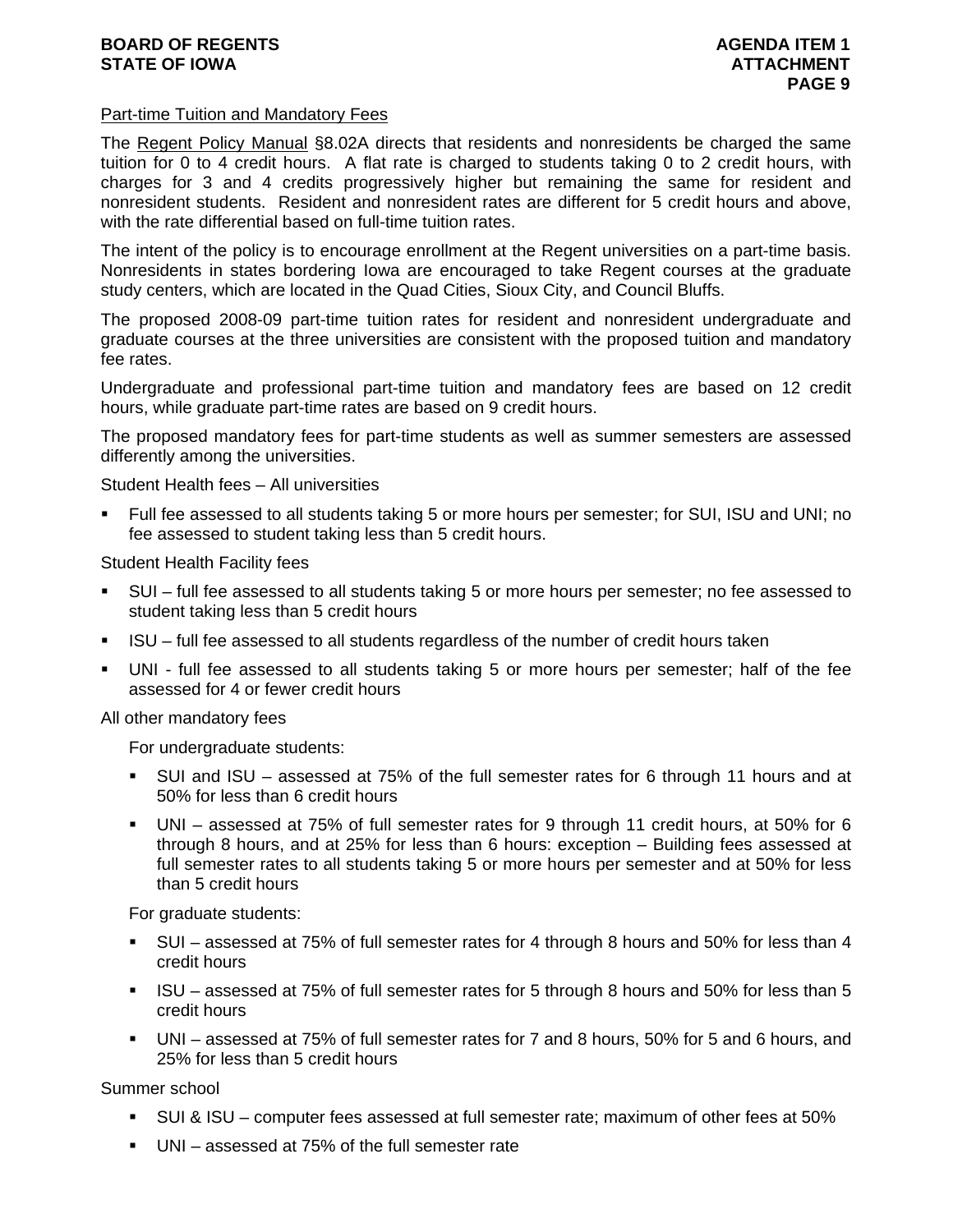## **BOARD OF REGENTS AGENTS** AGENDA ITEM 1 **STATE OF IOWA ATTACHMENT**

### Part-time Tuition and Mandatory Fees

The Regent Policy Manual §8.02A directs that residents and nonresidents be charged the same tuition for 0 to 4 credit hours. A flat rate is charged to students taking 0 to 2 credit hours, with charges for 3 and 4 credits progressively higher but remaining the same for resident and nonresident students. Resident and nonresident rates are different for 5 credit hours and above, with the rate differential based on full-time tuition rates.

The intent of the policy is to encourage enrollment at the Regent universities on a part-time basis. Nonresidents in states bordering Iowa are encouraged to take Regent courses at the graduate study centers, which are located in the Quad Cities, Sioux City, and Council Bluffs.

The proposed 2008-09 part-time tuition rates for resident and nonresident undergraduate and graduate courses at the three universities are consistent with the proposed tuition and mandatory fee rates.

Undergraduate and professional part-time tuition and mandatory fees are based on 12 credit hours, while graduate part-time rates are based on 9 credit hours.

The proposed mandatory fees for part-time students as well as summer semesters are assessed differently among the universities.

Student Health fees – All universities

 Full fee assessed to all students taking 5 or more hours per semester; for SUI, ISU and UNI; no fee assessed to student taking less than 5 credit hours.

Student Health Facility fees

- SUI full fee assessed to all students taking 5 or more hours per semester; no fee assessed to student taking less than 5 credit hours
- ISU full fee assessed to all students regardless of the number of credit hours taken
- UNI full fee assessed to all students taking 5 or more hours per semester; half of the fee assessed for 4 or fewer credit hours

All other mandatory fees

For undergraduate students:

- SUI and ISU assessed at 75% of the full semester rates for 6 through 11 hours and at 50% for less than 6 credit hours
- UNI assessed at 75% of full semester rates for 9 through 11 credit hours, at 50% for 6 through 8 hours, and at 25% for less than 6 hours: exception – Building fees assessed at full semester rates to all students taking 5 or more hours per semester and at 50% for less than 5 credit hours

For graduate students:

- SUI assessed at 75% of full semester rates for 4 through 8 hours and 50% for less than 4 credit hours
- ISU assessed at 75% of full semester rates for 5 through 8 hours and 50% for less than 5 credit hours
- UNI assessed at 75% of full semester rates for 7 and 8 hours, 50% for 5 and 6 hours, and 25% for less than 5 credit hours

Summer school

- SUI & ISU computer fees assessed at full semester rate; maximum of other fees at 50%
- UNI assessed at 75% of the full semester rate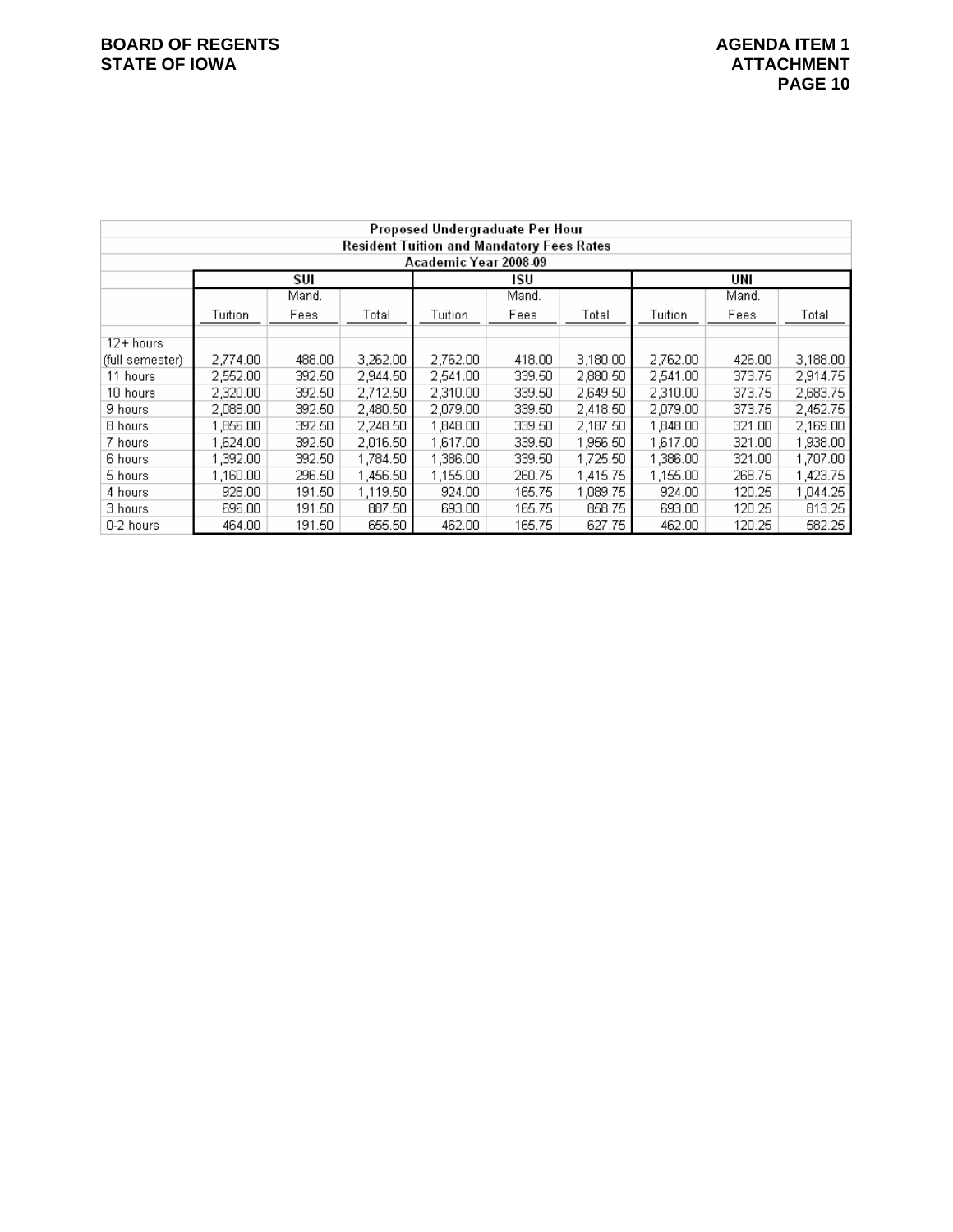|                 |                                                  |        |          |          |        |          | Proposed Undergraduate Per Hour |        |          |  |  |  |  |  |  |  |
|-----------------|--------------------------------------------------|--------|----------|----------|--------|----------|---------------------------------|--------|----------|--|--|--|--|--|--|--|
|                 | <b>Resident Tuition and Mandatory Fees Rates</b> |        |          |          |        |          |                                 |        |          |  |  |  |  |  |  |  |
|                 | Academic Year 2008-09                            |        |          |          |        |          |                                 |        |          |  |  |  |  |  |  |  |
|                 |                                                  | SUI    |          |          | isu    |          |                                 | UNI    |          |  |  |  |  |  |  |  |
|                 |                                                  | Mand.  |          |          | Mand.  |          |                                 | Mand.  |          |  |  |  |  |  |  |  |
|                 | Tuition                                          | Fees   | Total    | Tuition  | Fees   | Total    | Tuition                         | Fees   | Total    |  |  |  |  |  |  |  |
| 12+ hours       |                                                  |        |          |          |        |          |                                 |        |          |  |  |  |  |  |  |  |
| (full semester) | 2,774.00                                         | 488.00 | 3,262.00 | 2,762.00 | 418.00 | 3,180.00 | 2,762.00                        | 426.00 | 3,188.00 |  |  |  |  |  |  |  |
| 11 hours        | 2,552.00                                         | 392.50 | 2,944.50 | 2,541.00 | 339.50 | 2,880.50 | 2,541.00                        | 373.75 | 2,914.75 |  |  |  |  |  |  |  |
| 10 hours        | 2,320.00                                         | 392.50 | 2,712.50 | 2,310.00 | 339.50 | 2,649.50 | 2,310.00                        | 373.75 | 2,683.75 |  |  |  |  |  |  |  |
| 9 hours         | 2,088.00                                         | 392.50 | 2,480.50 | 2,079.00 | 339.50 | 2,418.50 | 2,079.00                        | 373.75 | 2,452.75 |  |  |  |  |  |  |  |
| 8 hours         | 1,856.00                                         | 392.50 | 2,248.50 | 1,848.00 | 339.50 | 2,187.50 | 1,848.00                        | 321.00 | 2,169.00 |  |  |  |  |  |  |  |
| 7 hours         | 1.624.00                                         | 392.50 | 2,016.50 | 1.617.00 | 339.50 | 1,956.50 | 1,617.00                        | 321.00 | 1,938.00 |  |  |  |  |  |  |  |
| 6 hours         | ,392.00                                          | 392.50 | 1,784.50 | 1,386.00 | 339.50 | 1,725.50 | 1,386.00                        | 321.00 | 1,707.00 |  |  |  |  |  |  |  |
| 5 hours         | 1,160.00                                         | 296.50 | 1,456.50 | 1,155.00 | 260.75 | 1,415.75 | 1,155.00                        | 268.75 | 1,423.75 |  |  |  |  |  |  |  |
| 4 hours         | 928.00                                           | 191.50 | 1,119.50 | 924.00   | 165.75 | 1,089.75 | 924.00                          | 120.25 | 1,044.25 |  |  |  |  |  |  |  |
| 3 hours         | 696.00                                           | 191.50 | 887.50   | 693.00   | 165.75 | 858.75   | 693.00                          | 120.25 | 813.25   |  |  |  |  |  |  |  |
| 0-2 hours       | 464.00                                           | 191.50 | 655.50   | 462.00   | 165.75 | 627.75   | 462.00                          | 120.25 | 582.25   |  |  |  |  |  |  |  |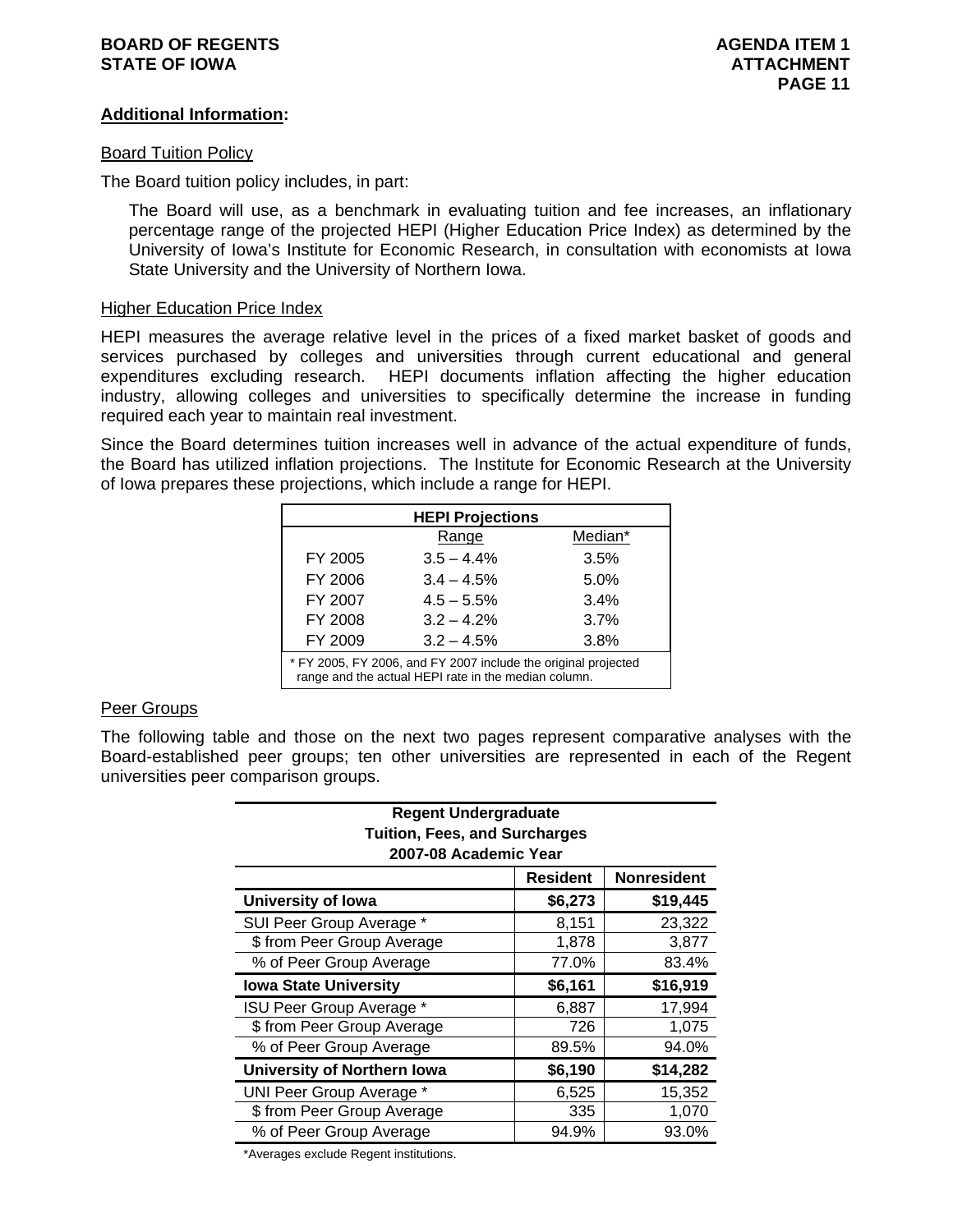### **BOARD OF REGENTS AGENUS AGENDA ITEM 1 STATE OF IOWA** AND **ATTACHMENT ATTACHMENT**

## **Additional Information:**

### **Board Tuition Policy**

The Board tuition policy includes, in part:

The Board will use, as a benchmark in evaluating tuition and fee increases, an inflationary percentage range of the projected HEPI (Higher Education Price Index) as determined by the University of Iowa's Institute for Economic Research, in consultation with economists at Iowa State University and the University of Northern Iowa.

### Higher Education Price Index

HEPI measures the average relative level in the prices of a fixed market basket of goods and services purchased by colleges and universities through current educational and general expenditures excluding research. HEPI documents inflation affecting the higher education industry, allowing colleges and universities to specifically determine the increase in funding required each year to maintain real investment.

Since the Board determines tuition increases well in advance of the actual expenditure of funds, the Board has utilized inflation projections. The Institute for Economic Research at the University of Iowa prepares these projections, which include a range for HEPI.

|                                                                                                                        | <b>HEPI Projections</b> |         |  |  |  |  |  |  |  |
|------------------------------------------------------------------------------------------------------------------------|-------------------------|---------|--|--|--|--|--|--|--|
|                                                                                                                        | Range                   | Median* |  |  |  |  |  |  |  |
| FY 2005                                                                                                                | $3.5 - 4.4%$            | 3.5%    |  |  |  |  |  |  |  |
| FY 2006                                                                                                                | $3.4 - 4.5%$            | 5.0%    |  |  |  |  |  |  |  |
| FY 2007                                                                                                                | $4.5 - 5.5%$            | 3.4%    |  |  |  |  |  |  |  |
| FY 2008                                                                                                                | $3.2 - 4.2%$            | 3.7%    |  |  |  |  |  |  |  |
| FY 2009                                                                                                                | $3.2 - 4.5%$            | 3.8%    |  |  |  |  |  |  |  |
| * FY 2005, FY 2006, and FY 2007 include the original projected<br>range and the actual HEPI rate in the median column. |                         |         |  |  |  |  |  |  |  |

### Peer Groups

The following table and those on the next two pages represent comparative analyses with the Board-established peer groups; ten other universities are represented in each of the Regent universities peer comparison groups.

| <b>Regent Undergraduate</b><br><b>Tuition, Fees, and Surcharges</b><br>2007-08 Academic Year |                 |                    |  |  |  |  |  |  |
|----------------------------------------------------------------------------------------------|-----------------|--------------------|--|--|--|--|--|--|
|                                                                                              | <b>Resident</b> | <b>Nonresident</b> |  |  |  |  |  |  |
| <b>University of lowa</b>                                                                    | \$6,273         | \$19,445           |  |  |  |  |  |  |
| SUI Peer Group Average *                                                                     | 8,151           | 23,322             |  |  |  |  |  |  |
| \$ from Peer Group Average                                                                   | 1,878           | 3,877              |  |  |  |  |  |  |
| % of Peer Group Average                                                                      | 77.0%           | 83.4%              |  |  |  |  |  |  |
| <b>Iowa State University</b>                                                                 | \$6,161         | \$16,919           |  |  |  |  |  |  |
| ISU Peer Group Average *                                                                     | 6,887           | 17,994             |  |  |  |  |  |  |
| \$ from Peer Group Average                                                                   | 726             | 1,075              |  |  |  |  |  |  |
| % of Peer Group Average                                                                      | 89.5%           | 94.0%              |  |  |  |  |  |  |
| University of Northern Iowa                                                                  | \$6,190         | \$14,282           |  |  |  |  |  |  |
| UNI Peer Group Average *                                                                     | 6,525           | 15,352             |  |  |  |  |  |  |
| \$ from Peer Group Average                                                                   | 335             | 1,070              |  |  |  |  |  |  |
| % of Peer Group Average                                                                      | 94.9%           | 93.0%              |  |  |  |  |  |  |

\*Averages exclude Regent institutions.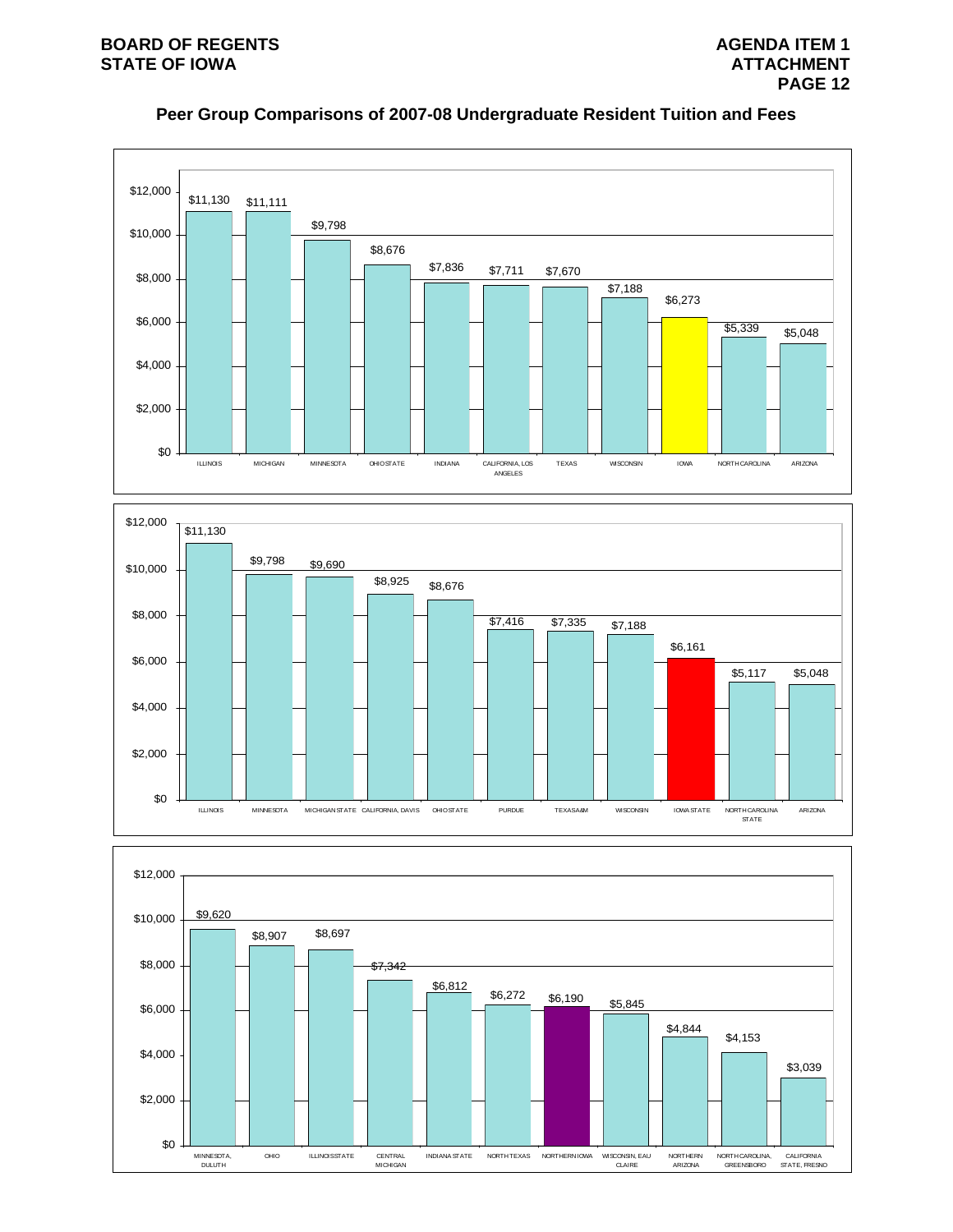





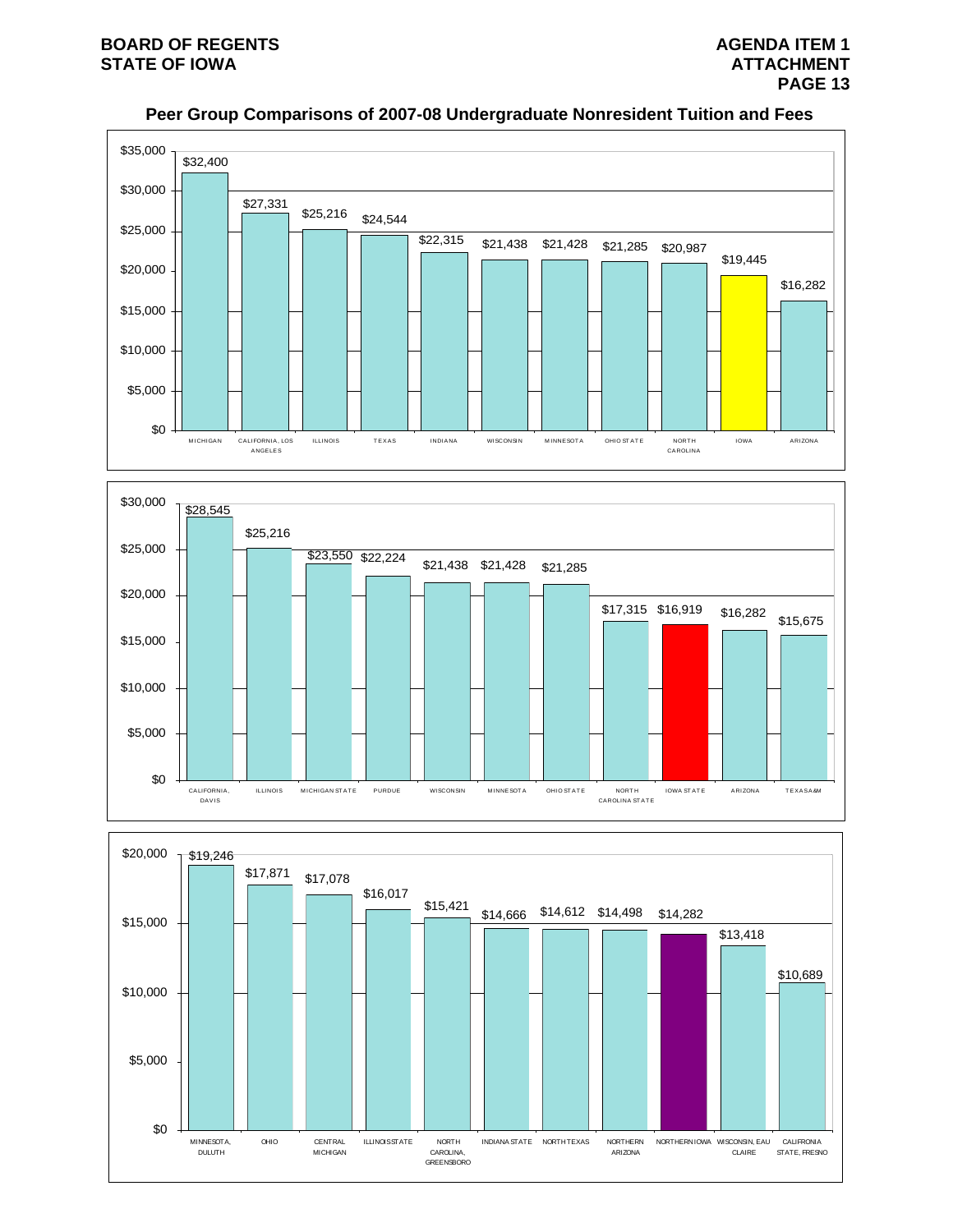

# **Peer Group Comparisons of 2007-08 Undergraduate Nonresident Tuition and Fees**